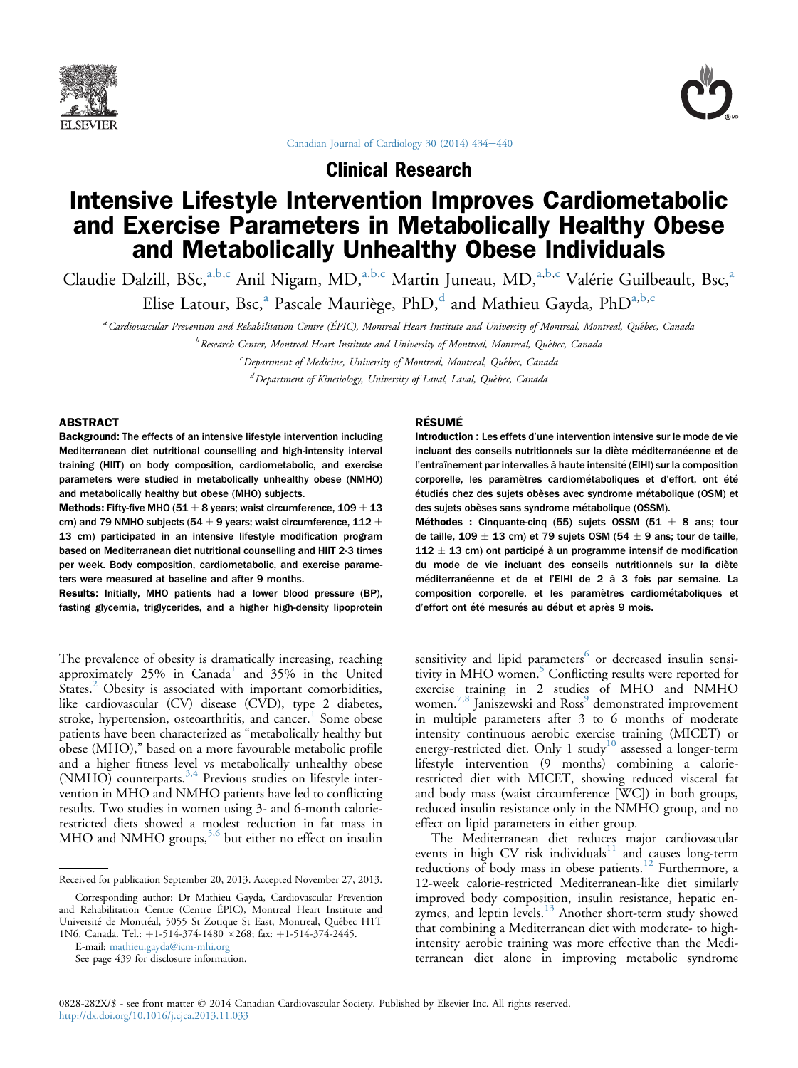



Canadian Journal of Cardiology 30 (2014)  $434-440$  $434-440$ 

Clinical Research

# Intensive Lifestyle Intervention Improves Cardiometabolic and Exercise Parameters in Metabolically Healthy Obese and Metabolically Unhealthy Obese Individuals

Claudie Dalzill, BSc,<sup>a,b,c</sup> Anil Nigam, MD,<sup>a,b,c</sup> Martin Juneau, MD,<sup>a,b,c</sup> Valérie Guilbeault, Bsc,<sup>a</sup>

Elise Latour, Bsc,<sup>a</sup> Pascale Mauriège, PhD,<sup>d</sup> and Mathieu Gayda, PhD<sup>a,b,c</sup>

a Cardiovascular Prevention and Rehabilitation Centre (ÉPIC), Montreal Heart Institute and University of Montreal, Montreal, Quebec, Canada

 $^b$  Research Center, Montreal Heart Institute and University of Montreal, Montreal, Québec, Canada

 $\epsilon$  Department of Medicine, University of Montreal, Montreal, Québec, Canada

<sup>d</sup> Department of Kinesiology, University of Laval, Laval, Québec, Canada

#### ABSTRACT

Background: The effects of an intensive lifestyle intervention including Mediterranean diet nutritional counselling and high-intensity interval training (HIIT) on body composition, cardiometabolic, and exercise parameters were studied in metabolically unhealthy obese (NMHO) and metabolically healthy but obese (MHO) subjects.

**Methods:** Fifty-five MHO (51  $\pm$  8 years; waist circumference, 109  $\pm$  13 cm) and 79 NMHO subjects (54  $\pm$  9 years; waist circumference, 112  $\pm$ 13 cm) participated in an intensive lifestyle modification program based on Mediterranean diet nutritional counselling and HIIT 2-3 times per week. Body composition, cardiometabolic, and exercise parameters were measured at baseline and after 9 months.

Results: Initially, MHO patients had a lower blood pressure (BP), fasting glycemia, triglycerides, and a higher high-density lipoprotein

The prevalence of obesity is dramatically increasing, reaching approximately 25% in Canada<sup>[1](#page-5-0)</sup> and 35% in the United States.<sup>[2](#page-5-0)</sup> Obesity is associated with important comorbidities, like cardiovascular (CV) disease (CVD), type 2 diabetes, stroke, hypertension, osteoarthritis, and cancer.<sup>[1](#page-5-0)</sup> Some obese patients have been characterized as "metabolically healthy but obese (MHO)," based on a more favourable metabolic profile and a higher fitness level vs metabolically unhealthy obese (NMHO) counterparts.<sup>[3,4](#page-5-0)</sup> Previous studies on lifestyle intervention in MHO and NMHO patients have led to conflicting results. Two studies in women using 3- and 6-month calorierestricted diets showed a modest reduction in fat mass in MHO and NMHO groups,<sup>[5,6](#page-5-0)</sup> but either no effect on insulin

E-mail: [mathieu.gayda@icm-mhi.org](mailto:mathieu.gayda@icm-mhi.org)

#### RÉSUMÉ

Introduction : Les effets d'une intervention intensive sur le mode de vie incluant des conseils nutritionnels sur la diète méditerranéenne et de l'entraînement par intervalles à haute intensité (EIHI) sur la composition corporelle, les paramètres cardiométaboliques et d'effort, ont été étudiés chez des sujets obèses avec syndrome métabolique (OSM) et des sujets obèses sans syndrome metabolique (OSSM).

Méthodes : Cinquante-cinq (55) sujets OSSM (51  $\pm$  8 ans; tour de taille,  $109 \pm 13$  cm) et 79 sujets OSM (54  $\pm$  9 ans; tour de taille,  $112 \pm 13$  cm) ont participé à un programme intensif de modification du mode de vie incluant des conseils nutritionnels sur la diète méditerranéenne et de et l'EIHI de 2 à 3 fois par semaine. La composition corporelle, et les paramètres cardiométaboliques et d'effort ont été mesurés au début et après 9 mois.

sensitivity and lipid parameters $6$  or decreased insulin sensi-tivity in MHO women.<sup>[5](#page-5-0)</sup> Conflicting results were reported for exercise training in 2 studies of MHO and NMHO women.<sup>[7,8](#page-5-0)</sup> Janiszewski and Ross<sup>[9](#page-5-0)</sup> demonstrated improvement in multiple parameters after 3 to 6 months of moderate intensity continuous aerobic exercise training (MICET) or energy-restricted diet. Only 1 study<sup>[10](#page-5-0)</sup> assessed a longer-term lifestyle intervention (9 months) combining a calorierestricted diet with MICET, showing reduced visceral fat and body mass (waist circumference [WC]) in both groups, reduced insulin resistance only in the NMHO group, and no effect on lipid parameters in either group.

The Mediterranean diet reduces major cardiovascular events in high CV risk individuals $11$  and causes long-term reductions of body mass in obese patients.<sup>[12](#page-5-0)</sup> Furthermore, a 12-week calorie-restricted Mediterranean-like diet similarly improved body composition, insulin resistance, hepatic enzymes, and leptin levels. $^{13}$  $^{13}$  $^{13}$  Another short-term study showed that combining a Mediterranean diet with moderate- to highintensity aerobic training was more effective than the Mediterranean diet alone in improving metabolic syndrome

Received for publication September 20, 2013. Accepted November 27, 2013.

Corresponding author: Dr Mathieu Gayda, Cardiovascular Prevention and Rehabilitation Centre (Centre ÉPIC), Montreal Heart Institute and Université de Montréal, 5055 St Zotique St East, Montreal, Québec H1T 1N6, Canada. Tel.: +1-514-374-1480 ×268; fax: +1-514-374-2445.

See page 439 for disclosure information.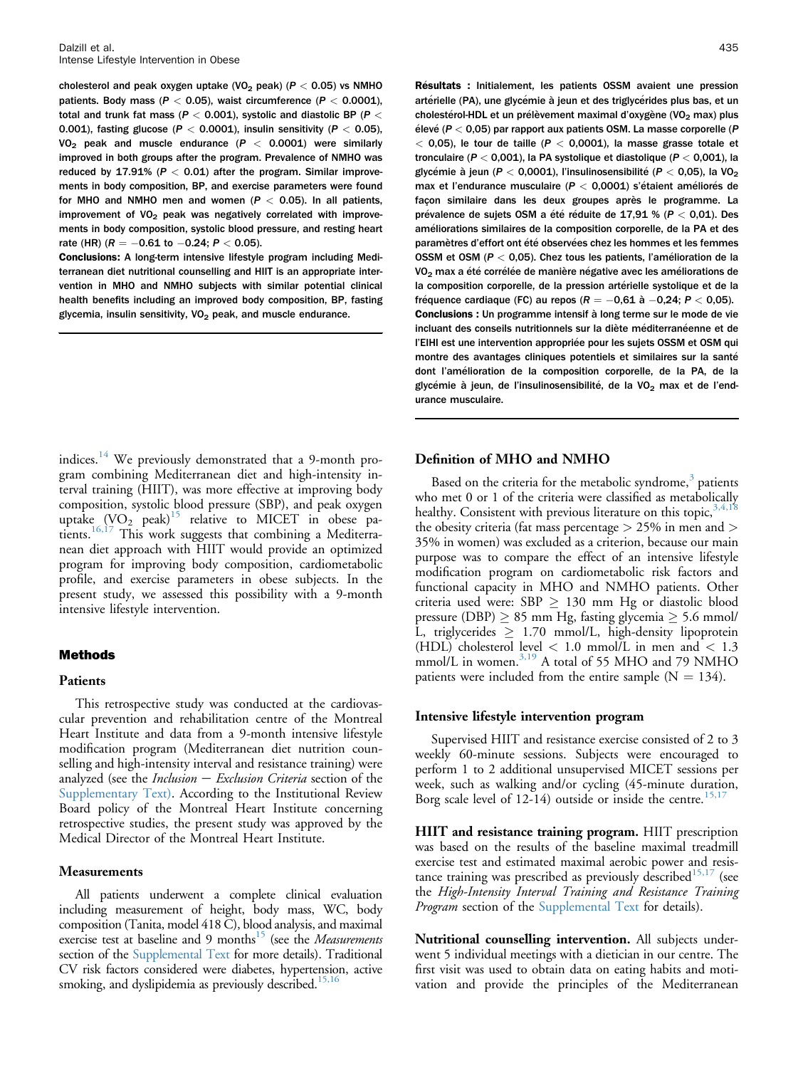cholesterol and peak oxygen uptake (VO<sub>2</sub> peak) ( $P < 0.05$ ) vs NMHO patients. Body mass ( $P < 0.05$ ), waist circumference ( $P < 0.0001$ ), total and trunk fat mass ( $P < 0.001$ ), systolic and diastolic BP ( $P <$ 0.001), fasting glucose ( $P < 0.0001$ ), insulin sensitivity ( $P < 0.05$ ), VO<sub>2</sub> peak and muscle endurance ( $P < 0.0001$ ) were similarly improved in both groups after the program. Prevalence of NMHO was reduced by 17.91% ( $P < 0.01$ ) after the program. Similar improvements in body composition, BP, and exercise parameters were found for MHO and NMHO men and women  $(P < 0.05)$ . In all patients, improvement of  $VO<sub>2</sub>$  peak was negatively correlated with improvements in body composition, systolic blood pressure, and resting heart rate (HR) ( $R = -0.61$  to  $-0.24$ ;  $P < 0.05$ ).

Conclusions: A long-term intensive lifestyle program including Mediterranean diet nutritional counselling and HIIT is an appropriate intervention in MHO and NMHO subjects with similar potential clinical health benefits including an improved body composition, BP, fasting glycemia, insulin sensitivity,  $VO<sub>2</sub>$  peak, and muscle endurance.

indices.[14](#page-5-0) We previously demonstrated that a 9-month program combining Mediterranean diet and high-intensity interval training (HIIT), was more effective at improving body composition, systolic blood pressure (SBP), and peak oxygen uptake  $(VO_2)$  peak)<sup>[15](#page-5-0)</sup> relative to MICET in obese pa-tients.<sup>[16,17](#page-5-0)</sup> This work suggests that combining a Mediterranean diet approach with HIIT would provide an optimized program for improving body composition, cardiometabolic profile, and exercise parameters in obese subjects. In the present study, we assessed this possibility with a 9-month intensive lifestyle intervention.

#### Methods

#### Patients

This retrospective study was conducted at the cardiovascular prevention and rehabilitation centre of the Montreal Heart Institute and data from a 9-month intensive lifestyle modification program (Mediterranean diet nutrition counselling and high-intensity interval and resistance training) were analyzed (see the *Inclusion*  $-$  *Exclusion Criteria* section of the Supplementary Text). According to the Institutional Review Board policy of the Montreal Heart Institute concerning retrospective studies, the present study was approved by the Medical Director of the Montreal Heart Institute.

#### **Measurements**

All patients underwent a complete clinical evaluation including measurement of height, body mass, WC, body composition (Tanita, model 418 C), blood analysis, and maximal exercise test at baseline and 9 months<sup>15</sup> (see the Measurements section of the Supplemental Text for more details). Traditional CV risk factors considered were diabetes, hypertension, active smoking, and dyslipidemia as previously described.<sup>15,1</sup>

Résultats : Initialement, les patients OSSM avaient une pression artérielle (PA), une glycémie à jeun et des triglycérides plus bas, et un cholestérol-HDL et un prélèvement maximal d'oxygène (VO<sub>2</sub> max) plus élevé ( $P < 0.05$ ) par rapport aux patients OSM. La masse corporelle ( $P$  $<$  0,05), le tour de taille (P  $<$  0,0001), la masse grasse totale et tronculaire ( $P < 0.001$ ), la PA systolique et diastolique ( $P < 0.001$ ), la glycémie à jeun ( $P < 0.0001$ ), l'insulinosensibilité ( $P < 0.05$ ), la VO<sub>2</sub> max et l'endurance musculaire ( $P < 0.0001$ ) s'étaient améliorés de façon similaire dans les deux groupes après le programme. La prévalence de sujets OSM a été réduite de 17,91 % ( $P < 0.01$ ). Des ameliorations similaires de la composition corporelle, de la PA et des paramètres d'effort ont été observées chez les hommes et les femmes OSSM et OSM (P < 0,05). Chez tous les patients, l'amelioration de la VO<sub>2</sub> max a été corrélée de manière négative avec les améliorations de la composition corporelle, de la pression artérielle systolique et de la fréquence cardiaque (FC) au repos ( $R = -0.61$  à  $-0.24$ ;  $P < 0.05$ ). Conclusions : Un programme intensif à long terme sur le mode de vie incluant des conseils nutritionnels sur la diète méditerranéenne et de l'EIHI est une intervention appropriée pour les sujets OSSM et OSM qui montre des avantages cliniques potentiels et similaires sur la santé dont l'amelioration de la composition corporelle, de la PA, de la glycémie à jeun, de l'insulinosensibilité, de la VO<sub>2</sub> max et de l'endurance musculaire.

#### Definition of MHO and NMHO

Based on the criteria for the metabolic syndrome, $3$  patients who met 0 or 1 of the criteria were classified as metabolically healthy. Consistent with previous literature on this topic,  $3,4,18$ the obesity criteria (fat mass percentage > 25% in men and > 35% in women) was excluded as a criterion, because our main purpose was to compare the effect of an intensive lifestyle modification program on cardiometabolic risk factors and functional capacity in MHO and NMHO patients. Other criteria used were:  $SBP \geq 130$  mm Hg or diastolic blood pressure (DBP)  $\geq$  85 mm Hg, fasting glycemia  $\geq$  5.6 mmol/ L, triglycerides  $\geq 1.70$  mmol/L, high-density lipoprotein (HDL) cholesterol level  $< 1.0$  mmol/L in men and  $< 1.3$ mmol/L in women.<sup>[3,19](#page-5-0)</sup> A total of 55 MHO and 79 NMHO patients were included from the entire sample  $(N = 134)$ .

#### Intensive lifestyle intervention program

Supervised HIIT and resistance exercise consisted of 2 to 3 weekly 60-minute sessions. Subjects were encouraged to perform 1 to 2 additional unsupervised MICET sessions per week, such as walking and/or cycling (45-minute duration, Borg scale level of  $12-14$ ) outside or inside the centre.<sup>15,1</sup>

HIIT and resistance training program. HIIT prescription was based on the results of the baseline maximal treadmill exercise test and estimated maximal aerobic power and resis-tance training was prescribed as previously described<sup>[15,17](#page-5-0)</sup> (see the High-Intensity Interval Training and Resistance Training *Program* section of the Supplemental Text for details).

Nutritional counselling intervention. All subjects underwent 5 individual meetings with a dietician in our centre. The first visit was used to obtain data on eating habits and motivation and provide the principles of the Mediterranean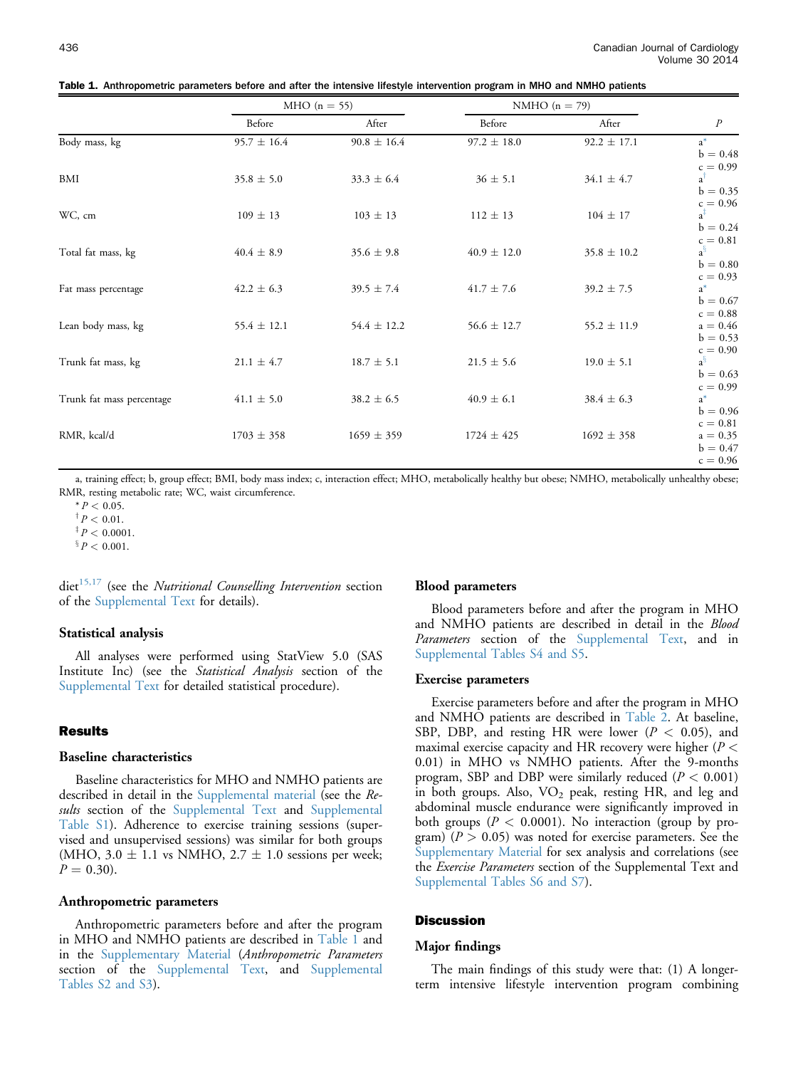<span id="page-2-0"></span>

|                           |                 | MHO $(n = 55)$  |                 | NMHO $(n = 79)$ |                                            |  |
|---------------------------|-----------------|-----------------|-----------------|-----------------|--------------------------------------------|--|
|                           | Before          | After           | Before          | After           | $\boldsymbol{P}$                           |  |
| Body mass, kg             | $95.7 \pm 16.4$ | $90.8 \pm 16.4$ | $97.2 \pm 18.0$ | $92.2 \pm 17.1$ | $a^*$<br>$b = 0.48$<br>$c = 0.99$          |  |
| BMI                       | $35.8 \pm 5.0$  | $33.3 \pm 6.4$  | $36 \pm 5.1$    | $34.1 \pm 4.7$  | $a^{\dagger}$<br>$b = 0.35$<br>$c = 0.96$  |  |
| WC, cm                    | $109 \pm 13$    | $103 \pm 13$    | $112 \pm 13$    | $104 \pm 17$    | $a^{\ddagger}$<br>$b = 0.24$<br>$c = 0.81$ |  |
| Total fat mass, kg        | $40.4 \pm 8.9$  | $35.6 \pm 9.8$  | $40.9 \pm 12.0$ | $35.8 \pm 10.2$ | $a^{\S}$<br>$b = 0.80$<br>$c = 0.93$       |  |
| Fat mass percentage       | $42.2 \pm 6.3$  | $39.5 \pm 7.4$  | $41.7 \pm 7.6$  | $39.2 \pm 7.5$  | $a^*$<br>$b = 0.67$<br>$c = 0.88$          |  |
| Lean body mass, kg        | $55.4 \pm 12.1$ | $54.4 \pm 12.2$ | $56.6 \pm 12.7$ | $55.2 \pm 11.9$ | $a = 0.46$<br>$b = 0.53$<br>$c = 0.90$     |  |
| Trunk fat mass, kg        | $21.1 \pm 4.7$  | $18.7 \pm 5.1$  | $21.5 \pm 5.6$  | $19.0 \pm 5.1$  | $a^{\S}$<br>$b = 0.63$<br>$c = 0.99$       |  |
| Trunk fat mass percentage | $41.1 \pm 5.0$  | $38.2 \pm 6.5$  | $40.9 \pm 6.1$  | $38.4 \pm 6.3$  | $a^*$<br>$b = 0.96$<br>$c = 0.81$          |  |
| RMR, kcal/d               | $1703 \pm 358$  | $1659 \pm 359$  | $1724 \pm 425$  | $1692 \pm 358$  | $a = 0.35$<br>$b = 0.47$<br>$c = 0.96$     |  |

a, training effect; b, group effect; BMI, body mass index; c, interaction effect; MHO, metabolically healthy but obese; NMHO, metabolically unhealthy obese; RMR, resting metabolic rate; WC, waist circumference.

 $* P < 0.05$ .

 $^{\dagger}P < 0.01$ .

 $\frac{1}{4}P < 0.0001$ .

 $\frac{3}{5}P < 0.001$ .

 $\text{dict}^{15,17}$  $\text{dict}^{15,17}$  $\text{dict}^{15,17}$  (see the *Nutritional Counselling Intervention* section of the Supplemental Text for details).

#### Statistical analysis

All analyses were performed using StatView 5.0 (SAS Institute Inc) (see the Statistical Analysis section of the Supplemental Text for detailed statistical procedure).

#### Results

#### Baseline characteristics

Baseline characteristics for MHO and NMHO patients are described in detail in the Supplemental material (see the Results section of the Supplemental Text and Supplemental Table S1). Adherence to exercise training sessions (supervised and unsupervised sessions) was similar for both groups (MHO,  $3.0 \pm 1.1$  vs NMHO,  $2.7 \pm 1.0$  sessions per week;  $P = 0.30$ ).

#### Anthropometric parameters

Anthropometric parameters before and after the program in MHO and NMHO patients are described in Table 1 and in the Supplementary Material (Anthropometric Parameters section of the Supplemental Text, and Supplemental Tables S2 and S3).

#### Blood parameters

Blood parameters before and after the program in MHO and NMHO patients are described in detail in the Blood Parameters section of the Supplemental Text, and in Supplemental Tables S4 and S5.

#### Exercise parameters

Exercise parameters before and after the program in MHO and NMHO patients are described in [Table 2](#page-3-0). At baseline, SBP, DBP, and resting HR were lower ( $P < 0.05$ ), and maximal exercise capacity and HR recovery were higher  $(P <$ 0.01) in MHO vs NMHO patients. After the 9-months program, SBP and DBP were similarly reduced ( $P < 0.001$ ) in both groups. Also,  $VO<sub>2</sub>$  peak, resting HR, and leg and abdominal muscle endurance were significantly improved in both groups ( $P < 0.0001$ ). No interaction (group by program) ( $P > 0.05$ ) was noted for exercise parameters. See the Supplementary Material for sex analysis and correlations (see the *Exercise Parameters* section of the Supplemental Text and Supplemental Tables S6 and S7).

#### **Discussion**

#### Major findings

The main findings of this study were that: (1) A longerterm intensive lifestyle intervention program combining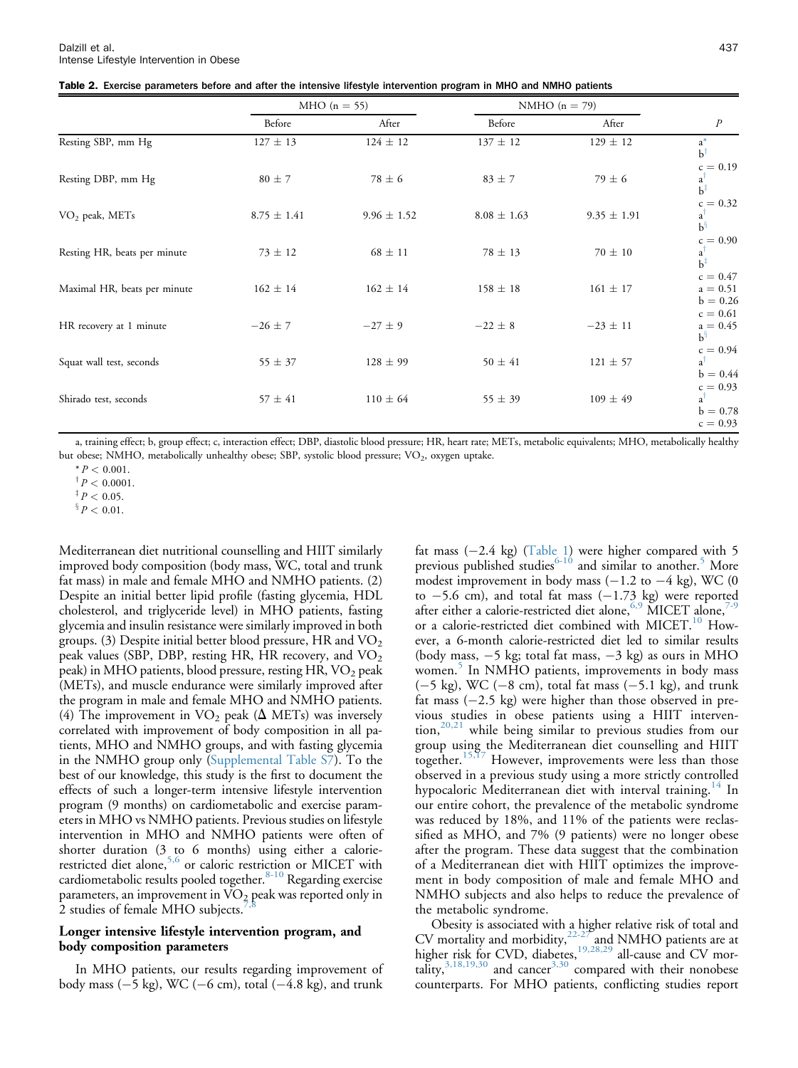<span id="page-3-0"></span>

| Table 2. Exercise parameters before and after the intensive lifestyle intervention program in MHO and NMHO patients |  |  |
|---------------------------------------------------------------------------------------------------------------------|--|--|
|---------------------------------------------------------------------------------------------------------------------|--|--|

|                              |                 | MHO $(n = 55)$  |                 | NMHO $(n = 79)$ |                                                         |
|------------------------------|-----------------|-----------------|-----------------|-----------------|---------------------------------------------------------|
|                              | Before          | After           | Before          | After           | $\boldsymbol{P}$                                        |
| Resting SBP, mm Hg           | $127 \pm 13$    | $124 \pm 12$    | $137 \pm 12$    | $129 \pm 12$    | $a^*$<br>$b^{\dagger}$                                  |
| Resting DBP, mm Hg           | $80 \pm 7$      | $78 \pm 6$      | $83 \pm 7$      | $79 \pm 6$      | $c = 0.19$<br>a <sup>1</sup><br>$b^{\dagger}$           |
| $VO2$ peak, METs             | $8.75 \pm 1.41$ | $9.96 \pm 1.52$ | $8.08 \pm 1.63$ | $9.35 \pm 1.91$ | $c = 0.32$<br>$a^{\dagger}$<br>$b^{\S}$                 |
| Resting HR, beats per minute | $73 \pm 12$     | $68 \pm 11$     | $78 \pm 13$     | $70 \pm 10$     | $c = 0.90$<br>a <sup>1</sup><br>$b^{\dagger}$           |
| Maximal HR, beats per minute | $162 \pm 14$    | $162 \pm 14$    | $158 \pm 18$    | $161 \pm 17$    | $c = 0.47$<br>$a = 0.51$<br>$b = 0.26$                  |
| HR recovery at 1 minute      | $-26 \pm 7$     | $-27 \pm 9$     | $-22 \pm 8$     | $-23 \pm 11$    | $c = 0.61$<br>$a = 0.45$<br>$b^{\S}$                    |
| Squat wall test, seconds     | $55 \pm 37$     | $128 \pm 99$    | $50 \pm 41$     | $121 \pm 57$    | $c = 0.94$<br>$a^{\dagger}$<br>$b = 0.44$               |
| Shirado test, seconds        | $57 \pm 41$     | $110 \pm 64$    | $55 \pm 39$     | $109 \pm 49$    | $c = 0.93$<br>$a^{\dagger}$<br>$b = 0.78$<br>$c = 0.93$ |

a, training effect; b, group effect; c, interaction effect; DBP, diastolic blood pressure; HR, heart rate; METs, metabolic equivalents; MHO, metabolically healthy but obese; NMHO, metabolically unhealthy obese; SBP, systolic blood pressure; VO<sub>2</sub>, oxygen uptake.

 $\frac{8}{3} P < 0.01$ .

Mediterranean diet nutritional counselling and HIIT similarly improved body composition (body mass, WC, total and trunk fat mass) in male and female MHO and NMHO patients. (2) Despite an initial better lipid profile (fasting glycemia, HDL cholesterol, and triglyceride level) in MHO patients, fasting glycemia and insulin resistance were similarly improved in both groups. (3) Despite initial better blood pressure, HR and  $\rm VO_{2}$ peak values (SBP, DBP, resting HR, HR recovery, and  $\mathrm{VO}_2$ peak) in MHO patients, blood pressure, resting HR, VO<sub>2</sub> peak (METs), and muscle endurance were similarly improved after the program in male and female MHO and NMHO patients. (4) The improvement in  $VO<sub>2</sub>$  peak ( $\Delta$  METs) was inversely correlated with improvement of body composition in all patients, MHO and NMHO groups, and with fasting glycemia in the NMHO group only (Supplemental Table S7). To the best of our knowledge, this study is the first to document the effects of such a longer-term intensive lifestyle intervention program (9 months) on cardiometabolic and exercise parameters in MHO vs NMHO patients. Previous studies on lifestyle intervention in MHO and NMHO patients were often of shorter duration (3 to 6 months) using either a calorie-restricted diet alone,<sup>[5,6](#page-5-0)</sup> or caloric restriction or MICET with cardiometabolic results pooled together. $8-10$  Regarding exercise parameters, an improvement in  $\rm{VO}_2$  peak was reported only in 2 studies of female MHO subjects.

#### Longer intensive lifestyle intervention program, and body composition parameters

In MHO patients, our results regarding improvement of body mass  $(-5 \text{ kg})$ , WC  $(-6 \text{ cm})$ , total  $(-4.8 \text{ kg})$ , and trunk

fat mass  $(-2.4 \text{ kg})$  ([Table 1](#page-2-0)) were higher compared with 5 previous published studies<sup>[6-10](#page-5-0)</sup> and similar to another.<sup>[5](#page-5-0)</sup> More modest improvement in body mass  $(-1.2$  to  $-4$  kg), WC (0 to  $-5.6$  cm), and total fat mass  $(-1.73 \text{ kg})$  were reported after either a calorie-restricted diet alone,<sup>[6,9](#page-5-0)</sup> MICET alone,<sup>7</sup> or a calorie-restricted diet combined with MICET.<sup>[10](#page-5-0)</sup> However, a 6-month calorie-restricted diet led to similar results (body mass,  $-5$  kg; total fat mass,  $-3$  kg) as ours in MHO women.<sup>[5](#page-5-0)</sup> In NMHO patients, improvements in body mass  $(-5 \text{ kg})$ , WC  $(-8 \text{ cm})$ , total fat mass  $(-5.1 \text{ kg})$ , and trunk fat mass  $(-2.5 \text{ kg})$  were higher than those observed in previous studies in obese patients using a HIIT interven-tion,<sup>[20,21](#page-5-0)</sup> while being similar to previous studies from our group using the Mediterranean diet counselling and HIIT together.[15,17](#page-5-0) However, improvements were less than those observed in a previous study using a more strictly controlled hypocaloric Mediterranean diet with interval training.<sup>[14](#page-5-0)</sup> In our entire cohort, the prevalence of the metabolic syndrome was reduced by 18%, and 11% of the patients were reclassified as MHO, and 7% (9 patients) were no longer obese after the program. These data suggest that the combination of a Mediterranean diet with HIIT optimizes the improvement in body composition of male and female MHO and NMHO subjects and also helps to reduce the prevalence of the metabolic syndrome.

Obesity is associated with a higher relative risk of total and CV mortality and morbidity, $22-27$  and NMHO patients are at higher risk for CVD, diabetes,<sup>[19,28,29](#page-5-0)</sup> all-cause and CV mortality, $3,18,19,30$  and cancer<sup>3,30</sup> compared with their nonobese counterparts. For MHO patients, conflicting studies report

 $* P < 0.001$ .

 $\frac{p}{p} < 0.0001$ .

 $^{\ddagger}P$  < 0.05.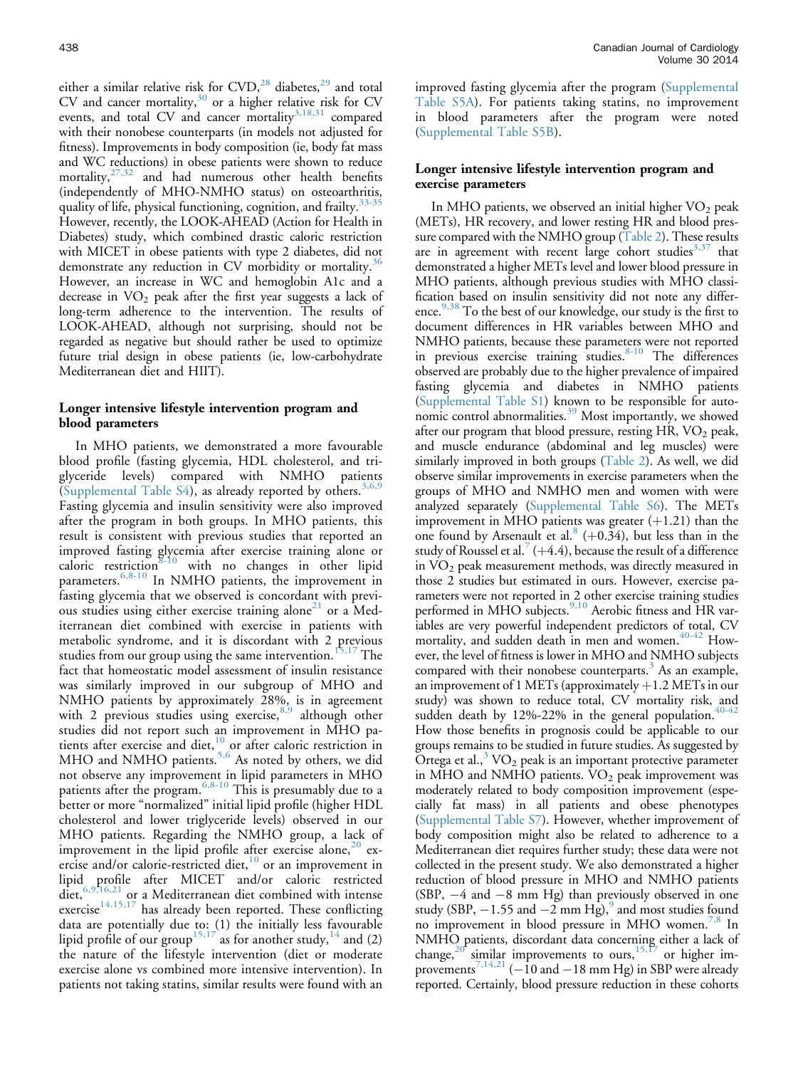either a similar relative risk for  $CVD<sup>28</sup>$  $CVD<sup>28</sup>$  $CVD<sup>28</sup>$  diabetes,<sup>[29](#page-6-0)</sup> and total CV and cancer mortality, $30$  or a higher relative risk for CV events, and total CV and cancer mortality<sup>[3,18,31](#page-5-0)</sup> compared with their nonobese counterparts (in models not adjusted for fitness). Improvements in body composition (ie, body fat mass and WC reductions) in obese patients were shown to reduce mortality, $27,32$  and had numerous other health benefits (independently of MHO-NMHO status) on osteoarthritis, quality of life, physical functioning, cognition, and frailty.<sup>[33-35](#page-6-0)</sup> However, recently, the LOOK-AHEAD (Action for Health in Diabetes) study, which combined drastic caloric restriction with MICET in obese patients with type 2 diabetes, did not demonstrate any reduction in CV morbidity or mortality.<sup>[36](#page-6-0)</sup> However, an increase in WC and hemoglobin A1c and a decrease in  $VO<sub>2</sub>$  peak after the first year suggests a lack of long-term adherence to the intervention. The results of LOOK-AHEAD, although not surprising, should not be regarded as negative but should rather be used to optimize future trial design in obese patients (ie, low-carbohydrate Mediterranean diet and HIIT).

#### Longer intensive lifestyle intervention program and blood parameters

In MHO patients, we demonstrated a more favourable blood profile (fasting glycemia, HDL cholesterol, and triglyceride levels) compared with NMHO patients (Supplemental Table S4), as already reported by others.<sup>[3,6,9](#page-5-0)</sup> Fasting glycemia and insulin sensitivity were also improved after the program in both groups. In MHO patients, this result is consistent with previous studies that reported an improved fasting glycemia after exercise training alone or caloric restriction<sup>[8-10](#page-5-0)</sup> with no changes in other lipid parameters.<sup>[6,8-10](#page-5-0)</sup> In NMHO patients, the improvement in fasting glycemia that we observed is concordant with previ-ous studies using either exercise training alone<sup>[21](#page-5-0)</sup> or a Mediterranean diet combined with exercise in patients with metabolic syndrome, and it is discordant with 2 previous studies from our group using the same intervention.<sup>[15,17](#page-5-0)</sup> The fact that homeostatic model assessment of insulin resistance was similarly improved in our subgroup of MHO and NMHO patients by approximately 28%, is in agreement with 2 previous studies using exercise,  $8.9$  although other studies did not report such an improvement in MHO pa-tients after exercise and diet,<sup>[10](#page-5-0)</sup> or after caloric restriction in MHO and NMHO patients.<sup>[5,6](#page-5-0)</sup> As noted by others, we did not observe any improvement in lipid parameters in MHO patients after the program. <sup>[6,8-10](#page-5-0)</sup> This is presumably due to a better or more "normalized" initial lipid profile (higher HDL cholesterol and lower triglyceride levels) observed in our MHO patients. Regarding the NMHO group, a lack of improvement in the lipid profile after exercise alone,  $20$  exercise and/or calorie-restricted diet, $10$  or an improvement in lipid profile after MICET and/or caloric restricted diet,<sup>[6,9,16,21](#page-5-0)</sup> or a Mediterranean diet combined with intense exercise<sup>[14,15,17](#page-5-0)</sup> has already been reported. These conflicting data are potentially due to: (1) the initially less favourable lipid profile of our group<sup>[15,17](#page-5-0)</sup> as for another study,<sup>[14](#page-5-0)</sup> and (2) the nature of the lifestyle intervention (diet or moderate exercise alone vs combined more intensive intervention). In patients not taking statins, similar results were found with an

improved fasting glycemia after the program (Supplemental Table S5A). For patients taking statins, no improvement in blood parameters after the program were noted (Supplemental Table S5B).

#### Longer intensive lifestyle intervention program and exercise parameters

In MHO patients, we observed an initial higher  $VO<sub>2</sub>$  peak (METs), HR recovery, and lower resting HR and blood pressure compared with the NMHO group [\(Table 2](#page-3-0)). These results are in agreement with recent large cohort studies $3.37$  that demonstrated a higher METs level and lower blood pressure in MHO patients, although previous studies with MHO classification based on insulin sensitivity did not note any differ-ence.<sup>[9,38](#page-5-0)</sup> To the best of our knowledge, our study is the first to document differences in HR variables between MHO and NMHO patients, because these parameters were not reported in previous exercise training studies.<sup>[8-10](#page-5-0)</sup> The differences observed are probably due to the higher prevalence of impaired fasting glycemia and diabetes in NMHO patients (Supplemental Table S1) known to be responsible for auto-nomic control abnormalities.<sup>[39](#page-6-0)</sup> Most importantly, we showed after our program that blood pressure, resting  $HR$ ,  $VO<sub>2</sub>$  peak, and muscle endurance (abdominal and leg muscles) were similarly improved in both groups [\(Table 2](#page-3-0)). As well, we did observe similar improvements in exercise parameters when the groups of MHO and NMHO men and women with were analyzed separately (Supplemental Table S6). The METs improvement in MHO patients was greater  $(+1.21)$  than the one found by Arsenault et al.<sup>[8](#page-5-0)</sup> ( $+0.34$ ), but less than in the study of Roussel et al. $(+)$  +4.4), because the result of a difference in  $VO<sub>2</sub>$  peak measurement methods, was directly measured in those 2 studies but estimated in ours. However, exercise parameters were not reported in 2 other exercise training studies performed in MHO subjects.<sup>[9,10](#page-5-0)</sup> Aerobic fitness and HR variables are very powerful independent predictors of total, CV mortality, and sudden death in men and women.<sup>[40-42](#page-6-0)</sup> However, the level of fitness is lower in MHO and NMHO subjects compared with their nonobese counterparts. $3$  As an example, an improvement of 1 METs (approximately  $+1.2$  METs in our study) was shown to reduce total, CV mortality risk, and sudden death by 12%-22% in the general population.<sup>40-4</sup> How those benefits in prognosis could be applicable to our groups remains to be studied in future studies. As suggested by Ortega et al., $3$  VO<sub>2</sub> peak is an important protective parameter in MHO and NMHO patients.  $VO<sub>2</sub>$  peak improvement was moderately related to body composition improvement (especially fat mass) in all patients and obese phenotypes (Supplemental Table S7). However, whether improvement of body composition might also be related to adherence to a Mediterranean diet requires further study; these data were not collected in the present study. We also demonstrated a higher reduction of blood pressure in MHO and NMHO patients (SBP,  $-4$  and  $-8$  mm Hg) than previously observed in one study (SBP,  $-1.55$  and  $-2$  mm Hg),<sup>[9](#page-5-0)</sup> and most studies found no improvement in blood pressure in MHO women.<sup>[7,8](#page-5-0)</sup> In NMHO patients, discordant data concerning either a lack of change,<sup>[20](#page-5-0)</sup> similar improvements to ours,<sup>15, $f$ 7</sup> or higher im-provements<sup>[7,14,21](#page-5-0)</sup> ( $-10$  and  $-18$  mm Hg) in SBP were already reported. Certainly, blood pressure reduction in these cohorts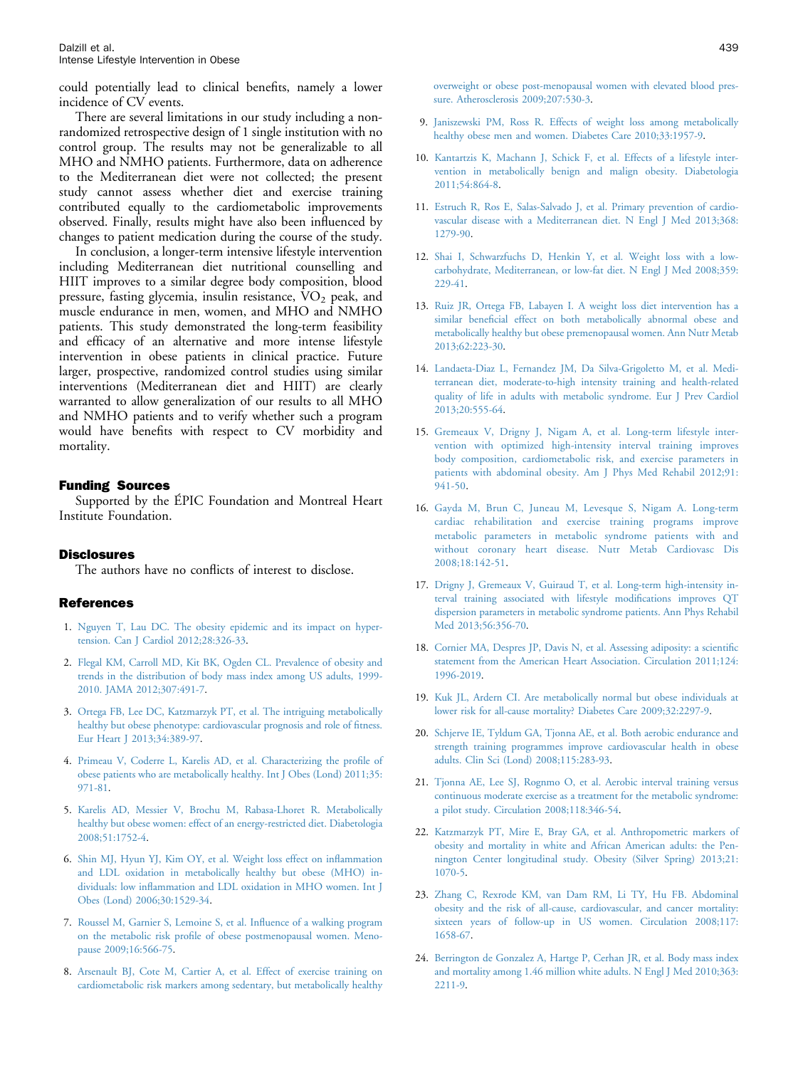<span id="page-5-0"></span>could potentially lead to clinical benefits, namely a lower incidence of CV events.

There are several limitations in our study including a nonrandomized retrospective design of 1 single institution with no control group. The results may not be generalizable to all MHO and NMHO patients. Furthermore, data on adherence to the Mediterranean diet were not collected; the present study cannot assess whether diet and exercise training contributed equally to the cardiometabolic improvements observed. Finally, results might have also been influenced by changes to patient medication during the course of the study.

In conclusion, a longer-term intensive lifestyle intervention including Mediterranean diet nutritional counselling and HIIT improves to a similar degree body composition, blood pressure, fasting glycemia, insulin resistance,  $\text{VO}_2$  peak, and muscle endurance in men, women, and MHO and NMHO patients. This study demonstrated the long-term feasibility and efficacy of an alternative and more intense lifestyle intervention in obese patients in clinical practice. Future larger, prospective, randomized control studies using similar interventions (Mediterranean diet and HIIT) are clearly warranted to allow generalization of our results to all MHO and NMHO patients and to verify whether such a program would have benefits with respect to CV morbidity and mortality.

#### Funding Sources

Supported by the ÉPIC Foundation and Montreal Heart Institute Foundation.

#### **Disclosures**

The authors have no conflicts of interest to disclose.

#### References

- 1. [Nguyen T, Lau DC. The obesity epidemic and its impact on hyper](http://refhub.elsevier.com/S0828-282X(13)01745-5/sref1)[tension. Can J Cardiol 2012;28:326-33](http://refhub.elsevier.com/S0828-282X(13)01745-5/sref1).
- 2. [Flegal KM, Carroll MD, Kit BK, Ogden CL. Prevalence of obesity and](http://refhub.elsevier.com/S0828-282X(13)01745-5/sref2) [trends in the distribution of body mass index among US adults, 1999-](http://refhub.elsevier.com/S0828-282X(13)01745-5/sref2) [2010. JAMA 2012;307:491-7](http://refhub.elsevier.com/S0828-282X(13)01745-5/sref2).
- 3. [Ortega FB, Lee DC, Katzmarzyk PT, et al. The intriguing metabolically](http://refhub.elsevier.com/S0828-282X(13)01745-5/sref3) [healthy but obese phenotype: cardiovascular prognosis and role of](http://refhub.elsevier.com/S0828-282X(13)01745-5/sref3) fitness. [Eur Heart J 2013;34:389-97.](http://refhub.elsevier.com/S0828-282X(13)01745-5/sref3)
- 4. [Primeau V, Coderre L, Karelis AD, et al. Characterizing the pro](http://refhub.elsevier.com/S0828-282X(13)01745-5/sref4)file of [obese patients who are metabolically healthy. Int J Obes \(Lond\) 2011;35:](http://refhub.elsevier.com/S0828-282X(13)01745-5/sref4) [971-81](http://refhub.elsevier.com/S0828-282X(13)01745-5/sref4).
- 5. [Karelis AD, Messier V, Brochu M, Rabasa-Lhoret R. Metabolically](http://refhub.elsevier.com/S0828-282X(13)01745-5/sref5) [healthy but obese women: effect of an energy-restricted diet. Diabetologia](http://refhub.elsevier.com/S0828-282X(13)01745-5/sref5) [2008;51:1752-4](http://refhub.elsevier.com/S0828-282X(13)01745-5/sref5).
- 6. [Shin MJ, Hyun YJ, Kim OY, et al. Weight loss effect on in](http://refhub.elsevier.com/S0828-282X(13)01745-5/sref6)flammation [and LDL oxidation in metabolically healthy but obese \(MHO\) in](http://refhub.elsevier.com/S0828-282X(13)01745-5/sref6)dividuals: low infl[ammation and LDL oxidation in MHO women. Int J](http://refhub.elsevier.com/S0828-282X(13)01745-5/sref6) [Obes \(Lond\) 2006;30:1529-34.](http://refhub.elsevier.com/S0828-282X(13)01745-5/sref6)
- 7. [Roussel M, Garnier S, Lemoine S, et al. In](http://refhub.elsevier.com/S0828-282X(13)01745-5/sref7)fluence of a walking program on the metabolic risk profi[le of obese postmenopausal women. Meno](http://refhub.elsevier.com/S0828-282X(13)01745-5/sref7)[pause 2009;16:566-75.](http://refhub.elsevier.com/S0828-282X(13)01745-5/sref7)
- 8. [Arsenault BJ, Cote M, Cartier A, et al. Effect of exercise training on](http://refhub.elsevier.com/S0828-282X(13)01745-5/sref8) [cardiometabolic risk markers among sedentary, but metabolically healthy](http://refhub.elsevier.com/S0828-282X(13)01745-5/sref8)

[overweight or obese post-menopausal women with elevated blood pres](http://refhub.elsevier.com/S0828-282X(13)01745-5/sref8)[sure. Atherosclerosis 2009;207:530-3.](http://refhub.elsevier.com/S0828-282X(13)01745-5/sref8)

- 9. [Janiszewski PM, Ross R. Effects of weight loss among metabolically](http://refhub.elsevier.com/S0828-282X(13)01745-5/sref9) [healthy obese men and women. Diabetes Care 2010;33:1957-9](http://refhub.elsevier.com/S0828-282X(13)01745-5/sref9).
- 10. [Kantartzis K, Machann J, Schick F, et al. Effects of a lifestyle inter](http://refhub.elsevier.com/S0828-282X(13)01745-5/sref10)[vention in metabolically benign and malign obesity. Diabetologia](http://refhub.elsevier.com/S0828-282X(13)01745-5/sref10) [2011;54:864-8](http://refhub.elsevier.com/S0828-282X(13)01745-5/sref10).
- 11. [Estruch R, Ros E, Salas-Salvado J, et al. Primary prevention of cardio](http://refhub.elsevier.com/S0828-282X(13)01745-5/sref11)[vascular disease with a Mediterranean diet. N Engl J Med 2013;368:](http://refhub.elsevier.com/S0828-282X(13)01745-5/sref11) [1279-90.](http://refhub.elsevier.com/S0828-282X(13)01745-5/sref11)
- 12. [Shai I, Schwarzfuchs D, Henkin Y, et al. Weight loss with a low](http://refhub.elsevier.com/S0828-282X(13)01745-5/sref12)[carbohydrate, Mediterranean, or low-fat diet. N Engl J Med 2008;359:](http://refhub.elsevier.com/S0828-282X(13)01745-5/sref12) [229-41.](http://refhub.elsevier.com/S0828-282X(13)01745-5/sref12)
- 13. [Ruiz JR, Ortega FB, Labayen I. A weight loss diet intervention has a](http://refhub.elsevier.com/S0828-282X(13)01745-5/sref13) similar benefi[cial effect on both metabolically abnormal obese and](http://refhub.elsevier.com/S0828-282X(13)01745-5/sref13) [metabolically healthy but obese premenopausal women. Ann Nutr Metab](http://refhub.elsevier.com/S0828-282X(13)01745-5/sref13) [2013;62:223-30.](http://refhub.elsevier.com/S0828-282X(13)01745-5/sref13)
- 14. [Landaeta-Diaz L, Fernandez JM, Da Silva-Grigoletto M, et al. Medi](http://refhub.elsevier.com/S0828-282X(13)01745-5/sref14)[terranean diet, moderate-to-high intensity training and health-related](http://refhub.elsevier.com/S0828-282X(13)01745-5/sref14) [quality of life in adults with metabolic syndrome. Eur J Prev Cardiol](http://refhub.elsevier.com/S0828-282X(13)01745-5/sref14) [2013;20:555-64.](http://refhub.elsevier.com/S0828-282X(13)01745-5/sref14)
- 15. [Gremeaux V, Drigny J, Nigam A, et al. Long-term lifestyle inter](http://refhub.elsevier.com/S0828-282X(13)01745-5/sref15)[vention with optimized high-intensity interval training improves](http://refhub.elsevier.com/S0828-282X(13)01745-5/sref15) [body composition, cardiometabolic risk, and exercise parameters in](http://refhub.elsevier.com/S0828-282X(13)01745-5/sref15) [patients with abdominal obesity. Am J Phys Med Rehabil 2012;91:](http://refhub.elsevier.com/S0828-282X(13)01745-5/sref15) [941-50.](http://refhub.elsevier.com/S0828-282X(13)01745-5/sref15)
- 16. [Gayda M, Brun C, Juneau M, Levesque S, Nigam A. Long-term](http://refhub.elsevier.com/S0828-282X(13)01745-5/sref16) [cardiac rehabilitation and exercise training programs improve](http://refhub.elsevier.com/S0828-282X(13)01745-5/sref16) [metabolic parameters in metabolic syndrome patients with and](http://refhub.elsevier.com/S0828-282X(13)01745-5/sref16) [without coronary heart disease. Nutr Metab Cardiovasc Dis](http://refhub.elsevier.com/S0828-282X(13)01745-5/sref16) [2008;18:142-51.](http://refhub.elsevier.com/S0828-282X(13)01745-5/sref16)
- 17. [Drigny J, Gremeaux V, Guiraud T, et al. Long-term high-intensity in](http://refhub.elsevier.com/S0828-282X(13)01745-5/sref17)[terval training associated with lifestyle modi](http://refhub.elsevier.com/S0828-282X(13)01745-5/sref17)fications improves QT [dispersion parameters in metabolic syndrome patients. Ann Phys Rehabil](http://refhub.elsevier.com/S0828-282X(13)01745-5/sref17) [Med 2013;56:356-70.](http://refhub.elsevier.com/S0828-282X(13)01745-5/sref17)
- 18. [Cornier MA, Despres JP, Davis N, et al. Assessing adiposity: a scienti](http://refhub.elsevier.com/S0828-282X(13)01745-5/sref18)fic [statement from the American Heart Association. Circulation 2011;124:](http://refhub.elsevier.com/S0828-282X(13)01745-5/sref18) [1996-2019.](http://refhub.elsevier.com/S0828-282X(13)01745-5/sref18)
- 19. [Kuk JL, Ardern CI. Are metabolically normal but obese individuals at](http://refhub.elsevier.com/S0828-282X(13)01745-5/sref19) [lower risk for all-cause mortality? Diabetes Care 2009;32:2297-9](http://refhub.elsevier.com/S0828-282X(13)01745-5/sref19).
- 20. [Schjerve IE, Tyldum GA, Tjonna AE, et al. Both aerobic endurance and](http://refhub.elsevier.com/S0828-282X(13)01745-5/sref20) [strength training programmes improve cardiovascular health in obese](http://refhub.elsevier.com/S0828-282X(13)01745-5/sref20) [adults. Clin Sci \(Lond\) 2008;115:283-93.](http://refhub.elsevier.com/S0828-282X(13)01745-5/sref20)
- 21. [Tjonna AE, Lee SJ, Rognmo O, et al. Aerobic interval training versus](http://refhub.elsevier.com/S0828-282X(13)01745-5/sref21) [continuous moderate exercise as a treatment for the metabolic syndrome:](http://refhub.elsevier.com/S0828-282X(13)01745-5/sref21) [a pilot study. Circulation 2008;118:346-54.](http://refhub.elsevier.com/S0828-282X(13)01745-5/sref21)
- 22. [Katzmarzyk PT, Mire E, Bray GA, et al. Anthropometric markers of](http://refhub.elsevier.com/S0828-282X(13)01745-5/sref22) [obesity and mortality in white and African American adults: the Pen](http://refhub.elsevier.com/S0828-282X(13)01745-5/sref22)[nington Center longitudinal study. Obesity \(Silver Spring\) 2013;21:](http://refhub.elsevier.com/S0828-282X(13)01745-5/sref22) [1070-5.](http://refhub.elsevier.com/S0828-282X(13)01745-5/sref22)
- 23. [Zhang C, Rexrode KM, van Dam RM, Li TY, Hu FB. Abdominal](http://refhub.elsevier.com/S0828-282X(13)01745-5/sref23) [obesity and the risk of all-cause, cardiovascular, and cancer mortality:](http://refhub.elsevier.com/S0828-282X(13)01745-5/sref23) [sixteen years of follow-up in US women. Circulation 2008;117:](http://refhub.elsevier.com/S0828-282X(13)01745-5/sref23) [1658-67.](http://refhub.elsevier.com/S0828-282X(13)01745-5/sref23)
- 24. [Berrington de Gonzalez A, Hartge P, Cerhan JR, et al. Body mass index](http://refhub.elsevier.com/S0828-282X(13)01745-5/sref24) [and mortality among 1.46 million white adults. N Engl J Med 2010;363:](http://refhub.elsevier.com/S0828-282X(13)01745-5/sref24) [2211-9.](http://refhub.elsevier.com/S0828-282X(13)01745-5/sref24)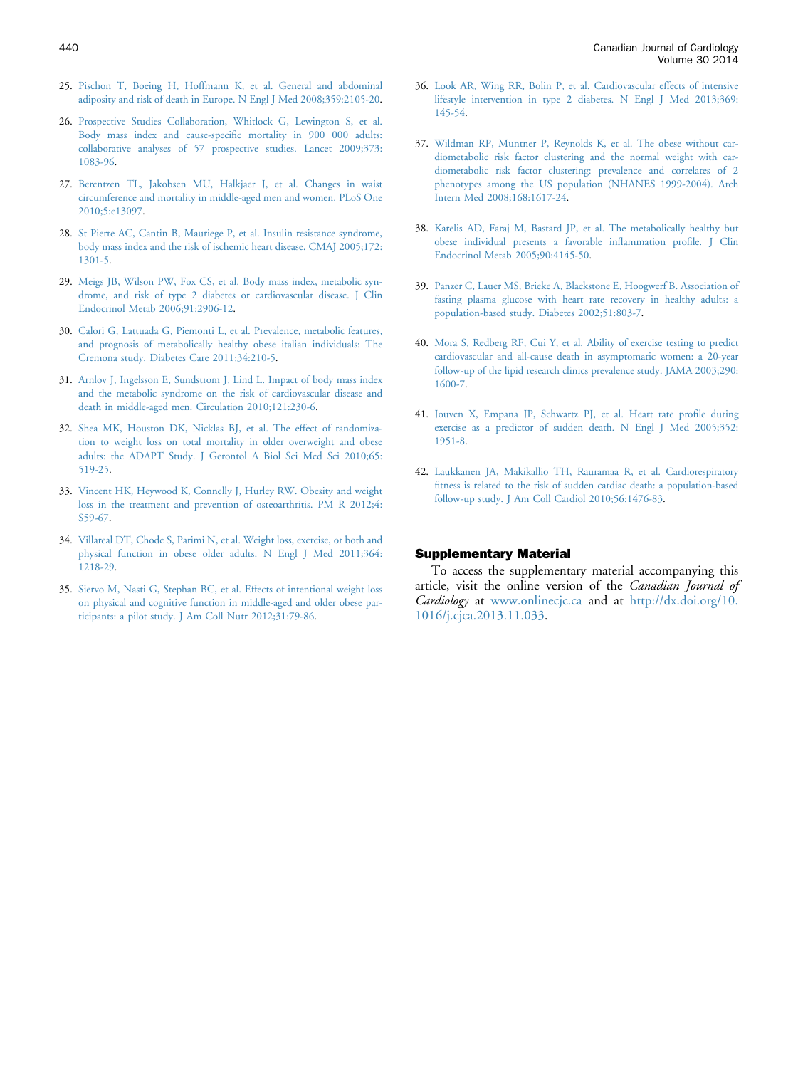- <span id="page-6-0"></span>25. [Pischon T, Boeing H, Hoffmann K, et al. General and abdominal](http://refhub.elsevier.com/S0828-282X(13)01745-5/sref25) [adiposity and risk of death in Europe. N Engl J Med 2008;359:2105-20](http://refhub.elsevier.com/S0828-282X(13)01745-5/sref25).
- 26. [Prospective Studies Collaboration, Whitlock G, Lewington S, et al.](http://refhub.elsevier.com/S0828-282X(13)01745-5/sref26) [Body mass index and cause-speci](http://refhub.elsevier.com/S0828-282X(13)01745-5/sref26)fic mortality in 900 000 adults: [collaborative analyses of 57 prospective studies. Lancet 2009;373:](http://refhub.elsevier.com/S0828-282X(13)01745-5/sref26) [1083-96.](http://refhub.elsevier.com/S0828-282X(13)01745-5/sref26)
- 27. [Berentzen TL, Jakobsen MU, Halkjaer J, et al. Changes in waist](http://refhub.elsevier.com/S0828-282X(13)01745-5/sref27) [circumference and mortality in middle-aged men and women. PLoS One](http://refhub.elsevier.com/S0828-282X(13)01745-5/sref27) [2010;5:e13097](http://refhub.elsevier.com/S0828-282X(13)01745-5/sref27).
- 28. [St Pierre AC, Cantin B, Mauriege P, et al. Insulin resistance syndrome,](http://refhub.elsevier.com/S0828-282X(13)01745-5/sref28) [body mass index and the risk of ischemic heart disease. CMAJ 2005;172:](http://refhub.elsevier.com/S0828-282X(13)01745-5/sref28) [1301-5.](http://refhub.elsevier.com/S0828-282X(13)01745-5/sref28)
- 29. [Meigs JB, Wilson PW, Fox CS, et al. Body mass index, metabolic syn](http://refhub.elsevier.com/S0828-282X(13)01745-5/sref29)[drome, and risk of type 2 diabetes or cardiovascular disease. J Clin](http://refhub.elsevier.com/S0828-282X(13)01745-5/sref29) [Endocrinol Metab 2006;91:2906-12.](http://refhub.elsevier.com/S0828-282X(13)01745-5/sref29)
- 30. [Calori G, Lattuada G, Piemonti L, et al. Prevalence, metabolic features,](http://refhub.elsevier.com/S0828-282X(13)01745-5/sref30) [and prognosis of metabolically healthy obese italian individuals: The](http://refhub.elsevier.com/S0828-282X(13)01745-5/sref30) [Cremona study. Diabetes Care 2011;34:210-5.](http://refhub.elsevier.com/S0828-282X(13)01745-5/sref30)
- 31. [Arnlov J, Ingelsson E, Sundstrom J, Lind L. Impact of body mass index](http://refhub.elsevier.com/S0828-282X(13)01745-5/sref31) [and the metabolic syndrome on the risk of cardiovascular disease and](http://refhub.elsevier.com/S0828-282X(13)01745-5/sref31) [death in middle-aged men. Circulation 2010;121:230-6](http://refhub.elsevier.com/S0828-282X(13)01745-5/sref31).
- 32. [Shea MK, Houston DK, Nicklas BJ, et al. The effect of randomiza](http://refhub.elsevier.com/S0828-282X(13)01745-5/sref32)[tion to weight loss on total mortality in older overweight and obese](http://refhub.elsevier.com/S0828-282X(13)01745-5/sref32) [adults: the ADAPT Study. J Gerontol A Biol Sci Med Sci 2010;65:](http://refhub.elsevier.com/S0828-282X(13)01745-5/sref32) [519-25.](http://refhub.elsevier.com/S0828-282X(13)01745-5/sref32)
- 33. [Vincent HK, Heywood K, Connelly J, Hurley RW. Obesity and weight](http://refhub.elsevier.com/S0828-282X(13)01745-5/sref33) [loss in the treatment and prevention of osteoarthritis. PM R 2012;4:](http://refhub.elsevier.com/S0828-282X(13)01745-5/sref33) [S59-67.](http://refhub.elsevier.com/S0828-282X(13)01745-5/sref33)
- 34. [Villareal DT, Chode S, Parimi N, et al. Weight loss, exercise, or both and](http://refhub.elsevier.com/S0828-282X(13)01745-5/sref34) [physical function in obese older adults. N Engl J Med 2011;364:](http://refhub.elsevier.com/S0828-282X(13)01745-5/sref34) [1218-29.](http://refhub.elsevier.com/S0828-282X(13)01745-5/sref34)
- 35. [Siervo M, Nasti G, Stephan BC, et al. Effects of intentional weight loss](http://refhub.elsevier.com/S0828-282X(13)01745-5/sref35) [on physical and cognitive function in middle-aged and older obese par](http://refhub.elsevier.com/S0828-282X(13)01745-5/sref35)[ticipants: a pilot study. J Am Coll Nutr 2012;31:79-86](http://refhub.elsevier.com/S0828-282X(13)01745-5/sref35).
- 36. [Look AR, Wing RR, Bolin P, et al. Cardiovascular effects of intensive](http://refhub.elsevier.com/S0828-282X(13)01745-5/sref36) [lifestyle intervention in type 2 diabetes. N Engl J Med 2013;369:](http://refhub.elsevier.com/S0828-282X(13)01745-5/sref36) [145-54.](http://refhub.elsevier.com/S0828-282X(13)01745-5/sref36)
- 37. [Wildman RP, Muntner P, Reynolds K, et al. The obese without car](http://refhub.elsevier.com/S0828-282X(13)01745-5/sref37)[diometabolic risk factor clustering and the normal weight with car](http://refhub.elsevier.com/S0828-282X(13)01745-5/sref37)[diometabolic risk factor clustering: prevalence and correlates of 2](http://refhub.elsevier.com/S0828-282X(13)01745-5/sref37) [phenotypes among the US population \(NHANES 1999-2004\). Arch](http://refhub.elsevier.com/S0828-282X(13)01745-5/sref37) [Intern Med 2008;168:1617-24](http://refhub.elsevier.com/S0828-282X(13)01745-5/sref37).
- 38. [Karelis AD, Faraj M, Bastard JP, et al. The metabolically healthy but](http://refhub.elsevier.com/S0828-282X(13)01745-5/sref38) [obese individual presents a favorable in](http://refhub.elsevier.com/S0828-282X(13)01745-5/sref38)flammation profile. J Clin [Endocrinol Metab 2005;90:4145-50.](http://refhub.elsevier.com/S0828-282X(13)01745-5/sref38)
- 39. [Panzer C, Lauer MS, Brieke A, Blackstone E, Hoogwerf B. Association of](http://refhub.elsevier.com/S0828-282X(13)01745-5/sref39) [fasting plasma glucose with heart rate recovery in healthy adults: a](http://refhub.elsevier.com/S0828-282X(13)01745-5/sref39) [population-based study. Diabetes 2002;51:803-7](http://refhub.elsevier.com/S0828-282X(13)01745-5/sref39).
- 40. [Mora S, Redberg RF, Cui Y, et al. Ability of exercise testing to predict](http://refhub.elsevier.com/S0828-282X(13)01745-5/sref40) [cardiovascular and all-cause death in asymptomatic women: a 20-year](http://refhub.elsevier.com/S0828-282X(13)01745-5/sref40) [follow-up of the lipid research clinics prevalence study. JAMA 2003;290:](http://refhub.elsevier.com/S0828-282X(13)01745-5/sref40) [1600-7.](http://refhub.elsevier.com/S0828-282X(13)01745-5/sref40)
- 41. [Jouven X, Empana JP, Schwartz PJ, et al. Heart rate pro](http://refhub.elsevier.com/S0828-282X(13)01745-5/sref41)file during [exercise as a predictor of sudden death. N Engl J Med 2005;352:](http://refhub.elsevier.com/S0828-282X(13)01745-5/sref41) [1951-8.](http://refhub.elsevier.com/S0828-282X(13)01745-5/sref41)
- 42. [Laukkanen JA, Makikallio TH, Rauramaa R, et al. Cardiorespiratory](http://refhub.elsevier.com/S0828-282X(13)01745-5/sref42) fi[tness is related to the risk of sudden cardiac death: a population-based](http://refhub.elsevier.com/S0828-282X(13)01745-5/sref42) [follow-up study. J Am Coll Cardiol 2010;56:1476-83](http://refhub.elsevier.com/S0828-282X(13)01745-5/sref42).

#### Supplementary Material

To access the supplementary material accompanying this article, visit the online version of the Canadian Journal of Cardiology at [www.onlinecjc.ca](http://www.onlinecjc.ca) and at [http://dx.doi.org/10.](http://dx.doi.org/10.1016/j.cjca.2013.11.033) [1016/j.cjca.2013.11.033](http://dx.doi.org/10.1016/j.cjca.2013.11.033).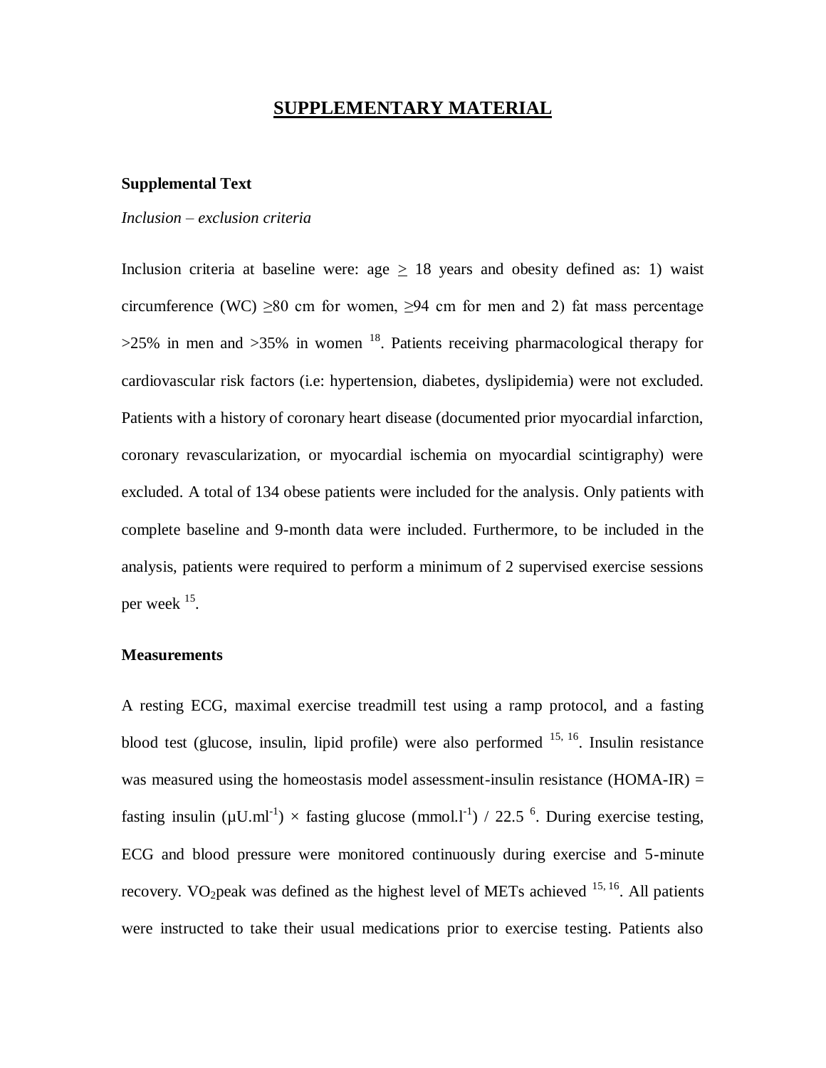# **SUPPLEMENTARY MATERIAL**

# **Supplemental Text**

# *Inclusion – exclusion criteria*

Inclusion criteria at baseline were: age  $\geq$  18 years and obesity defined as: 1) waist circumference (WC)  $\geq 80$  cm for women,  $\geq 94$  cm for men and 2) fat mass percentage  $>25\%$  in men and  $>35\%$  in women <sup>18</sup>. Patients receiving pharmacological therapy for cardiovascular risk factors (i.e: hypertension, diabetes, dyslipidemia) were not excluded. Patients with a history of coronary heart disease (documented prior myocardial infarction, coronary revascularization, or myocardial ischemia on myocardial scintigraphy) were excluded. A total of 134 obese patients were included for the analysis. Only patients with complete baseline and 9-month data were included. Furthermore, to be included in the analysis, patients were required to perform a minimum of 2 supervised exercise sessions per week  $15$ .

## **Measurements**

A resting ECG, maximal exercise treadmill test using a ramp protocol, and a fasting blood test (glucose, insulin, lipid profile) were also performed  $15, 16$ . Insulin resistance was measured using the homeostasis model assessment-insulin resistance (HOMA-IR)  $=$ fasting insulin ( $\mu$ U.ml<sup>-1</sup>)  $\times$  fasting glucose (mmol.l<sup>-1</sup>) / 22.5<sup>6</sup>. During exercise testing, ECG and blood pressure were monitored continuously during exercise and 5-minute recovery. VO<sub>2</sub>peak was defined as the highest level of METs achieved  $15, 16$ . All patients were instructed to take their usual medications prior to exercise testing. Patients also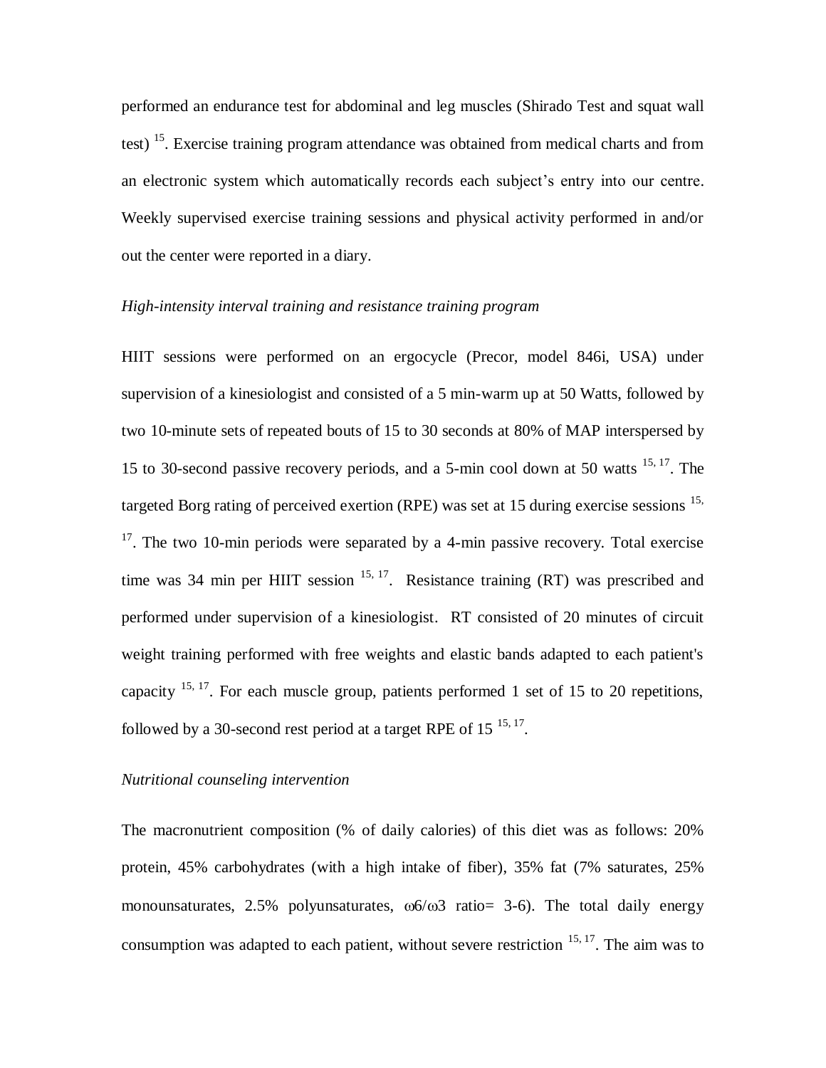performed an endurance test for abdominal and leg muscles (Shirado Test and squat wall test)<sup>15</sup>. Exercise training program attendance was obtained from medical charts and from an electronic system which automatically records each subject's entry into our centre. Weekly supervised exercise training sessions and physical activity performed in and/or out the center were reported in a diary.

# *High-intensity interval training and resistance training program*

HIIT sessions were performed on an ergocycle (Precor, model 846i, USA) under supervision of a kinesiologist and consisted of a 5 min-warm up at 50 Watts, followed by two 10-minute sets of repeated bouts of 15 to 30 seconds at 80% of MAP interspersed by 15 to 30-second passive recovery periods, and a 5-min cool down at 50 watts 15, 17. The targeted Borg rating of perceived exertion (RPE) was set at 15 during exercise sessions  $15$ ,  $17$ . The two 10-min periods were separated by a 4-min passive recovery. Total exercise time was 34 min per HIIT session  $15, 17$ . Resistance training (RT) was prescribed and performed under supervision of a kinesiologist. RT consisted of 20 minutes of circuit weight training performed with free weights and elastic bands adapted to each patient's capacity  $15, 17$ . For each muscle group, patients performed 1 set of 15 to 20 repetitions, followed by a 30-second rest period at a target RPE of  $15^{15,17}$ .

### *Nutritional counseling intervention*

The macronutrient composition (% of daily calories) of this diet was as follows: 20% protein, 45% carbohydrates (with a high intake of fiber), 35% fat (7% saturates, 25% monounsaturates, 2.5% polyunsaturates,  $\omega$ 6/ $\omega$ 3 ratio= 3-6). The total daily energy consumption was adapted to each patient, without severe restriction  $15, 17$ . The aim was to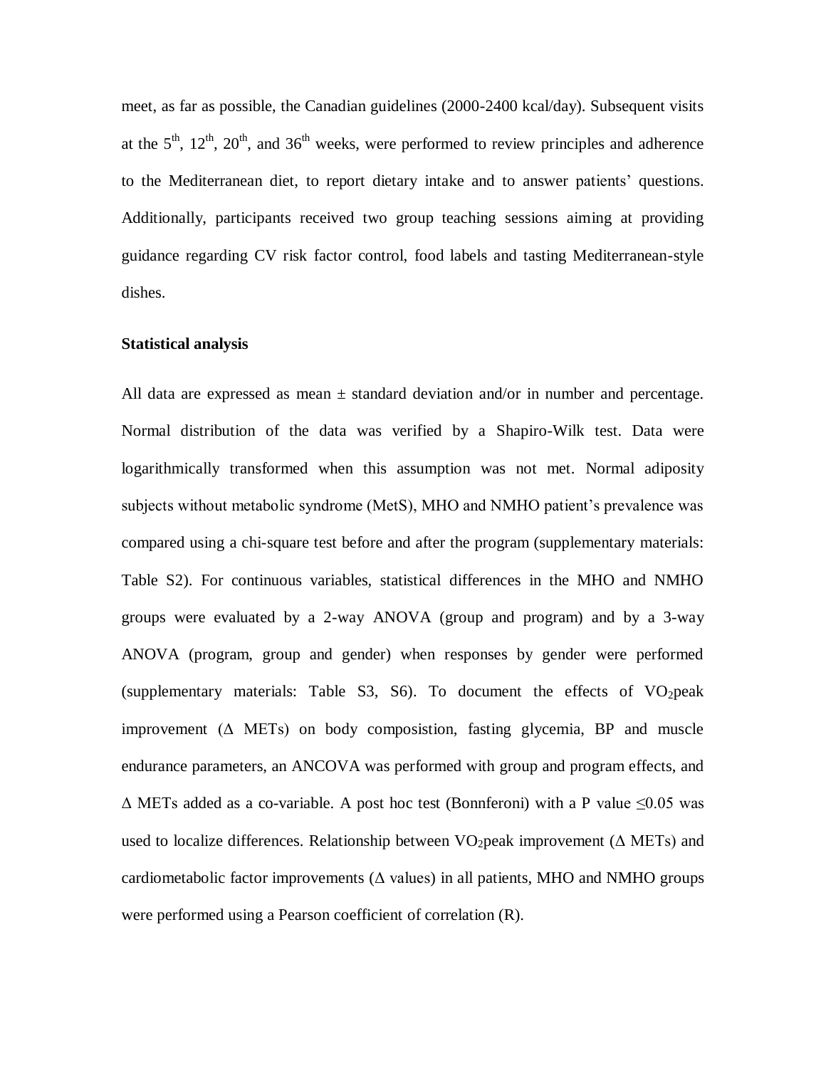meet, as far as possible, the Canadian guidelines (2000-2400 kcal/day). Subsequent visits at the  $5<sup>th</sup>$ ,  $12<sup>th</sup>$ ,  $20<sup>th</sup>$ , and  $36<sup>th</sup>$  weeks, were performed to review principles and adherence to the Mediterranean diet, to report dietary intake and to answer patients' questions. Additionally, participants received two group teaching sessions aiming at providing guidance regarding CV risk factor control, food labels and tasting Mediterranean-style dishes.

# **Statistical analysis**

All data are expressed as mean  $\pm$  standard deviation and/or in number and percentage. Normal distribution of the data was verified by a Shapiro-Wilk test. Data were logarithmically transformed when this assumption was not met. Normal adiposity subjects without metabolic syndrome (MetS), MHO and NMHO patient's prevalence was compared using a chi-square test before and after the program (supplementary materials: Table S2). For continuous variables, statistical differences in the MHO and NMHO groups were evaluated by a 2-way ANOVA (group and program) and by a 3-way ANOVA (program, group and gender) when responses by gender were performed (supplementary materials: Table S3, S6). To document the effects of  $VO<sub>2</sub>peak$ improvement  $(\triangle METs)$  on body composistion, fasting glycemia, BP and muscle endurance parameters, an ANCOVA was performed with group and program effects, and  $\Delta$  METs added as a co-variable. A post hoc test (Bonnferoni) with a P value  $\leq 0.05$  was used to localize differences. Relationship between  $VO<sub>2</sub>peak$  improvement ( $\triangle$  METs) and cardiometabolic factor improvements ( $\Delta$  values) in all patients, MHO and NMHO groups were performed using a Pearson coefficient of correlation (R).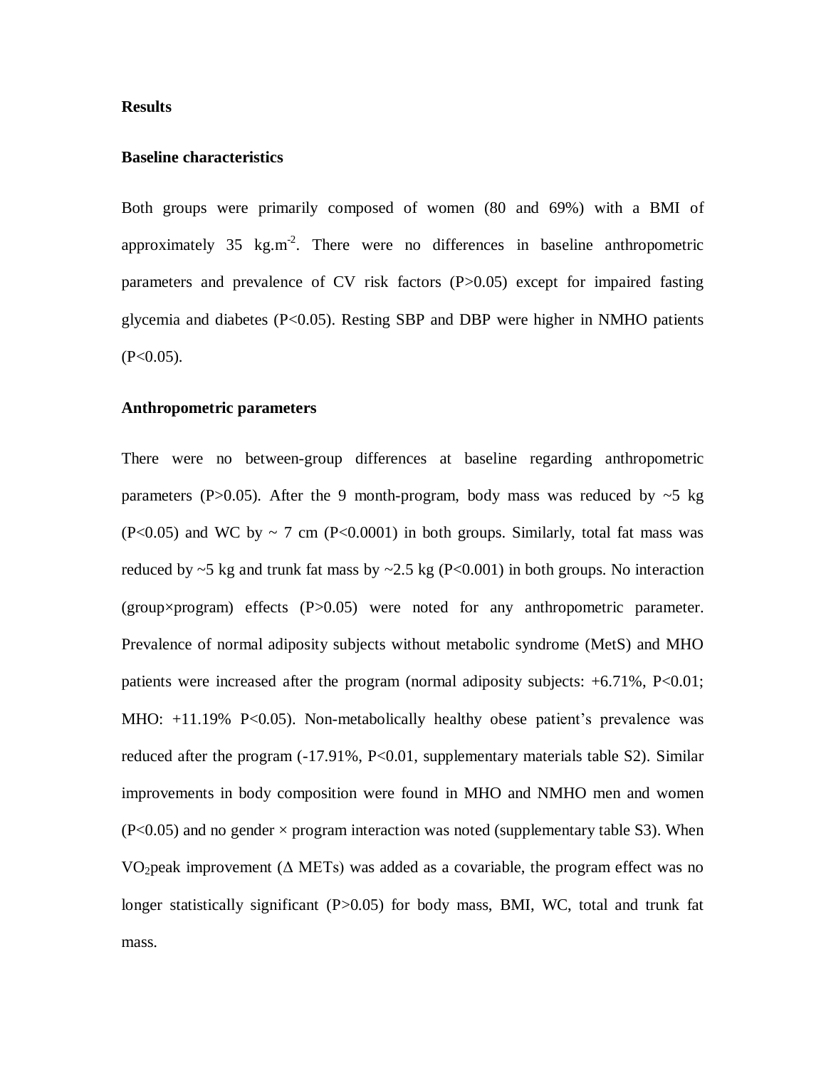# **Results**

# **Baseline characteristics**

Both groups were primarily composed of women (80 and 69%) with a BMI of approximately 35 kg.m<sup>-2</sup>. There were no differences in baseline anthropometric parameters and prevalence of CV risk factors (P>0.05) except for impaired fasting glycemia and diabetes (P<0.05). Resting SBP and DBP were higher in NMHO patients  $(P<0.05)$ .

# **Anthropometric parameters**

There were no between-group differences at baseline regarding anthropometric parameters (P $>0.05$ ). After the 9 month-program, body mass was reduced by  $\sim$ 5 kg (P<0.05) and WC by  $\sim$  7 cm (P<0.0001) in both groups. Similarly, total fat mass was reduced by  $\sim$  5 kg and trunk fat mass by  $\sim$  2.5 kg (P<0.001) in both groups. No interaction (group×program) effects (P>0.05) were noted for any anthropometric parameter. Prevalence of normal adiposity subjects without metabolic syndrome (MetS) and MHO patients were increased after the program (normal adiposity subjects:  $+6.71\%$ , P<0.01; MHO: +11.19% P<0.05). Non-metabolically healthy obese patient's prevalence was reduced after the program (-17.91%, P<0.01, supplementary materials table S2). Similar improvements in body composition were found in MHO and NMHO men and women  $(P<0.05)$  and no gender  $\times$  program interaction was noted (supplementary table S3). When VO<sub>2</sub> peak improvement ( $\triangle$  METs) was added as a covariable, the program effect was no longer statistically significant (P>0.05) for body mass, BMI, WC, total and trunk fat mass.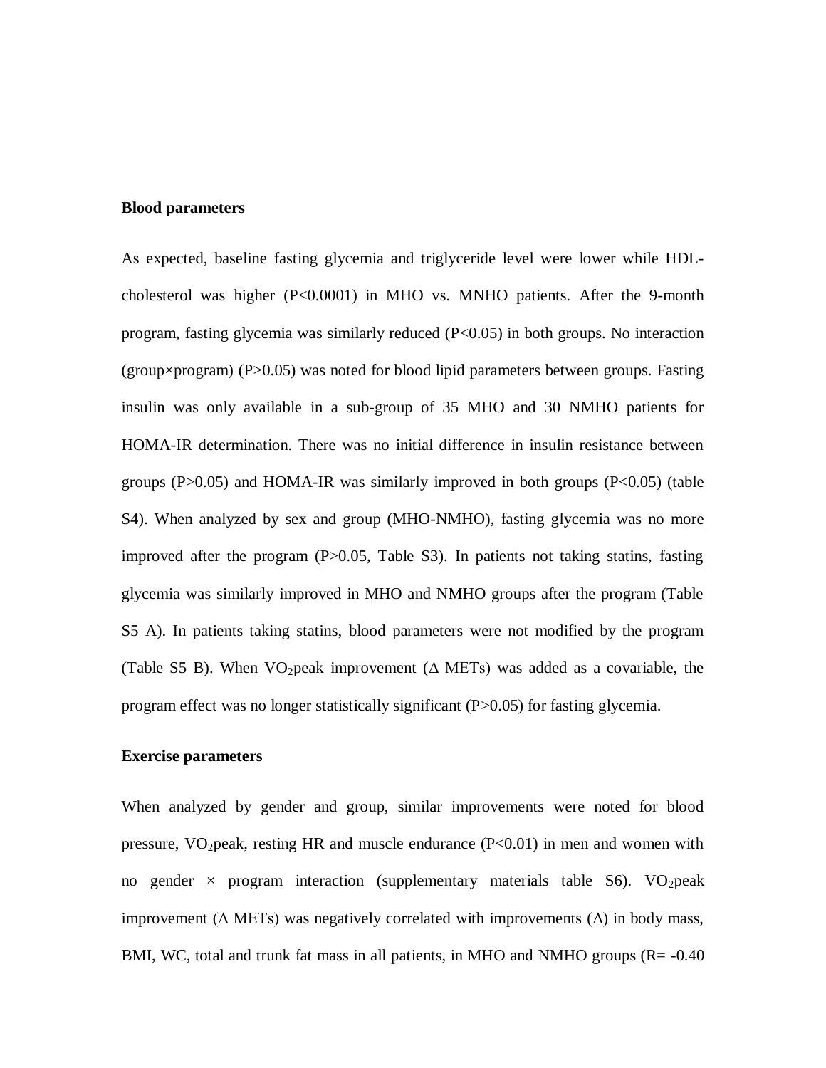# **Blood parameters**

As expected, baseline fasting glycemia and triglyceride level were lower while HDLcholesterol was higher (P<0.0001) in MHO vs. MNHO patients. After the 9-month program, fasting glycemia was similarly reduced (P<0.05) in both groups. No interaction  $(group \times program)$  (P $>0.05$ ) was noted for blood lipid parameters between groups. Fasting insulin was only available in a sub-group of 35 MHO and 30 NMHO patients for HOMA-IR determination. There was no initial difference in insulin resistance between groups  $(P>0.05)$  and HOMA-IR was similarly improved in both groups  $(P<0.05)$  (table S4). When analyzed by sex and group (MHO-NMHO), fasting glycemia was no more improved after the program (P>0.05, Table S3). In patients not taking statins, fasting glycemia was similarly improved in MHO and NMHO groups after the program (Table S5 A). In patients taking statins, blood parameters were not modified by the program (Table S5 B). When VO<sub>2</sub>peak improvement ( $\Delta$  METs) was added as a covariable, the program effect was no longer statistically significant (P>0.05) for fasting glycemia.

# **Exercise parameters**

When analyzed by gender and group, similar improvements were noted for blood pressure,  $VO<sub>2</sub>peak$ , resting HR and muscle endurance  $(P<0.01)$  in men and women with no gender  $\times$  program interaction (supplementary materials table S6). VO<sub>2</sub>peak improvement ( $\Delta$  METs) was negatively correlated with improvements ( $\Delta$ ) in body mass, BMI, WC, total and trunk fat mass in all patients, in MHO and NMHO groups (R= -0.40)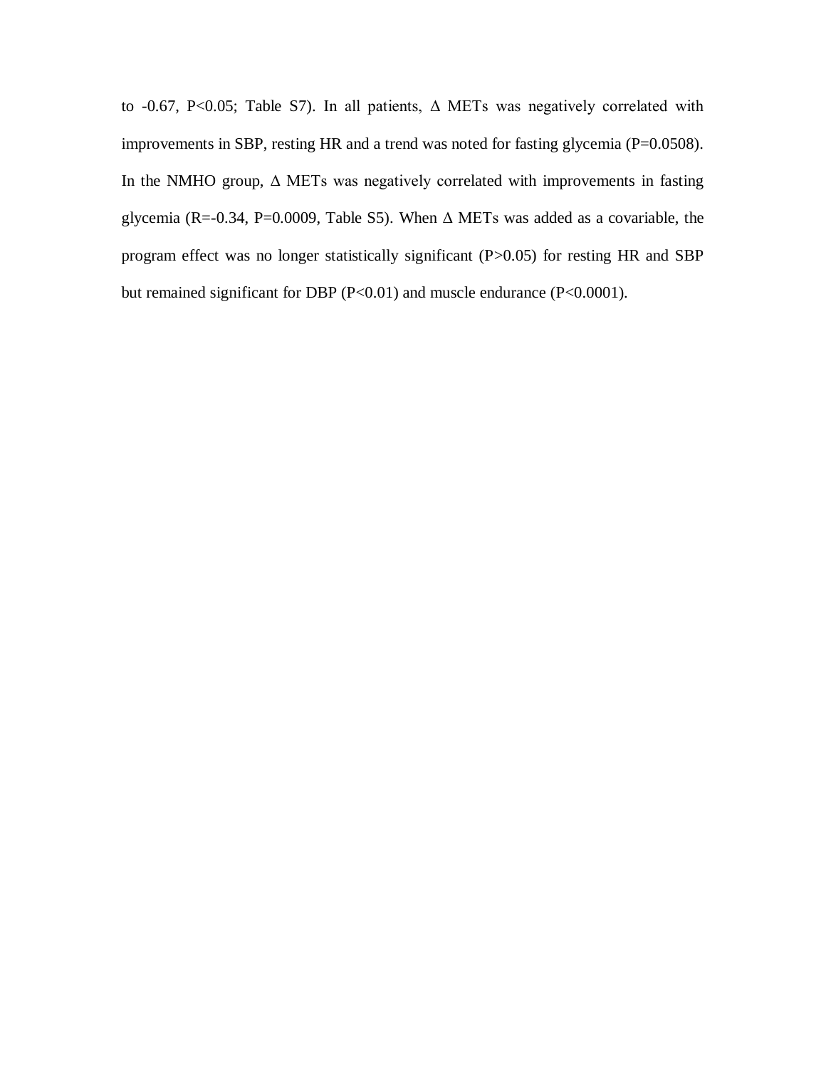to -0.67, P<0.05; Table S7). In all patients,  $\Delta$  METs was negatively correlated with improvements in SBP, resting HR and a trend was noted for fasting glycemia (P=0.0508). In the NMHO group,  $\Delta$  METs was negatively correlated with improvements in fasting glycemia (R=-0.34, P=0.0009, Table S5). When  $\Delta$  METs was added as a covariable, the program effect was no longer statistically significant (P>0.05) for resting HR and SBP but remained significant for DBP (P<0.01) and muscle endurance (P<0.0001).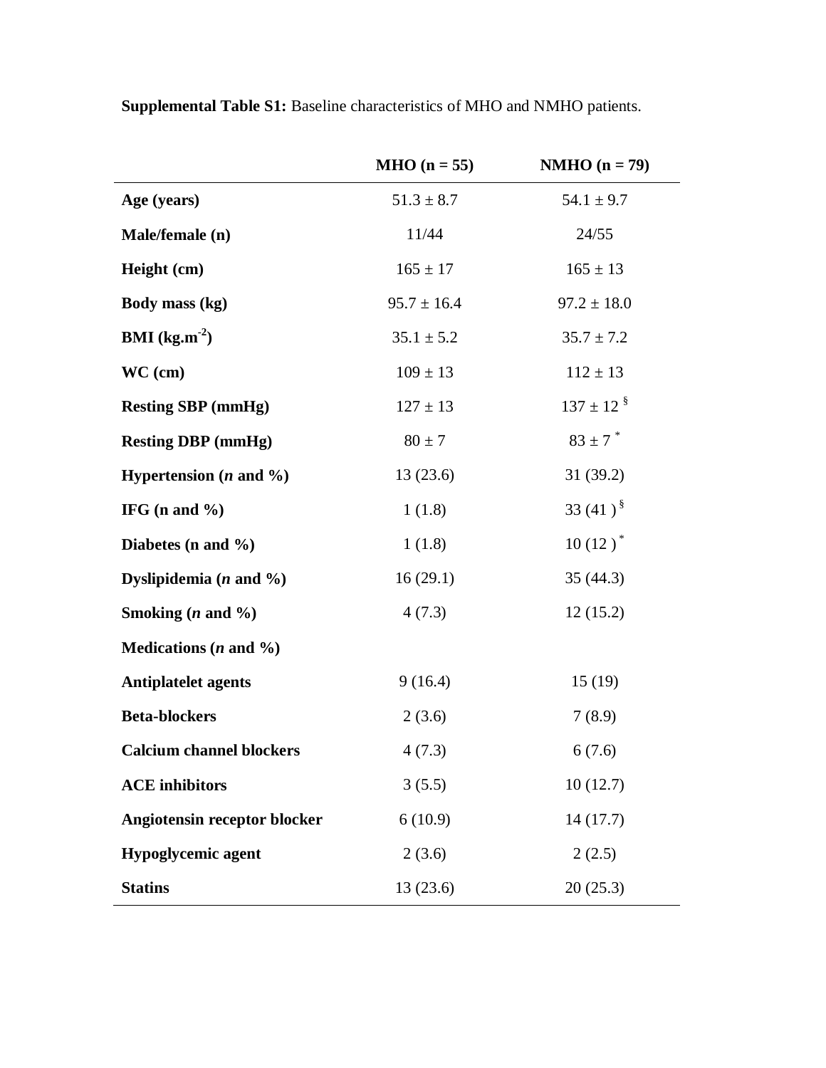|                                        | $MHO (n = 55)$  | $NMHO (n = 79)$            |
|----------------------------------------|-----------------|----------------------------|
| Age (years)                            | $51.3 \pm 8.7$  | $54.1 \pm 9.7$             |
| Male/female (n)                        | 11/44           | 24/55                      |
| Height (cm)                            | $165 \pm 17$    | $165 \pm 13$               |
| Body mass (kg)                         | $95.7 \pm 16.4$ | $97.2 \pm 18.0$            |
| <b>BMI</b> ( $kg.m^{-2}$ )             | $35.1 \pm 5.2$  | $35.7 \pm 7.2$             |
| $WC$ (cm)                              | $109 \pm 13$    | $112 \pm 13$               |
| <b>Resting SBP</b> (mmHg)              | $127 \pm 13$    | $137 \pm 12$ $\frac{8}{3}$ |
| <b>Resting DBP</b> (mmHg)              | $80 \pm 7$      | $83 \pm 7$ *               |
| Hypertension $(n \text{ and } \%)$     | 13(23.6)        | 31(39.2)                   |
| IFG (n and $\%$ )                      | 1(1.8)          | 33 $(41)^{\S}$             |
| Diabetes (n and $\%$ )                 | 1(1.8)          | $10(12)^*$                 |
| Dyslipidemia $(n \text{ and } \%)$     | 16(29.1)        | 35(44.3)                   |
| Smoking $(n \text{ and } \frac{9}{0})$ | 4(7.3)          | 12(15.2)                   |
| Medications $(n \text{ and } \%)$      |                 |                            |
| <b>Antiplatelet agents</b>             | 9(16.4)         | 15(19)                     |
| <b>Beta-blockers</b>                   | 2(3.6)          | 7(8.9)                     |
| <b>Calcium channel blockers</b>        | 4(7.3)          | 6(7.6)                     |
| <b>ACE</b> inhibitors                  | 3(5.5)          | 10(12.7)                   |
| Angiotensin receptor blocker           | 6(10.9)         | 14(17.7)                   |
| <b>Hypoglycemic agent</b>              | 2(3.6)          | 2(2.5)                     |
| <b>Statins</b>                         | 13(23.6)        | 20(25.3)                   |

**Supplemental Table S1:** Baseline characteristics of MHO and NMHO patients.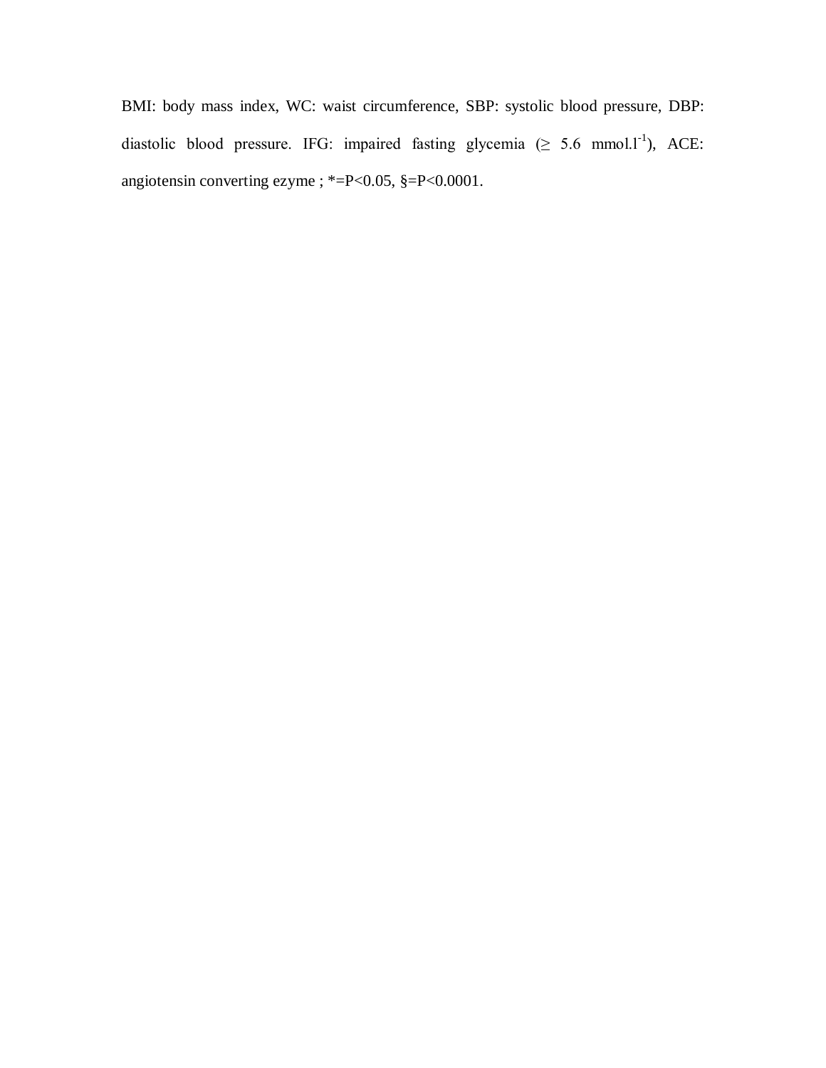BMI: body mass index, WC: waist circumference, SBP: systolic blood pressure, DBP: diastolic blood pressure. IFG: impaired fasting glycemia  $(\geq 5.6 \text{ mmol.} l^{-1})$ , ACE: angiotensin converting ezyme ; \*=P<0.05, §=P<0.0001.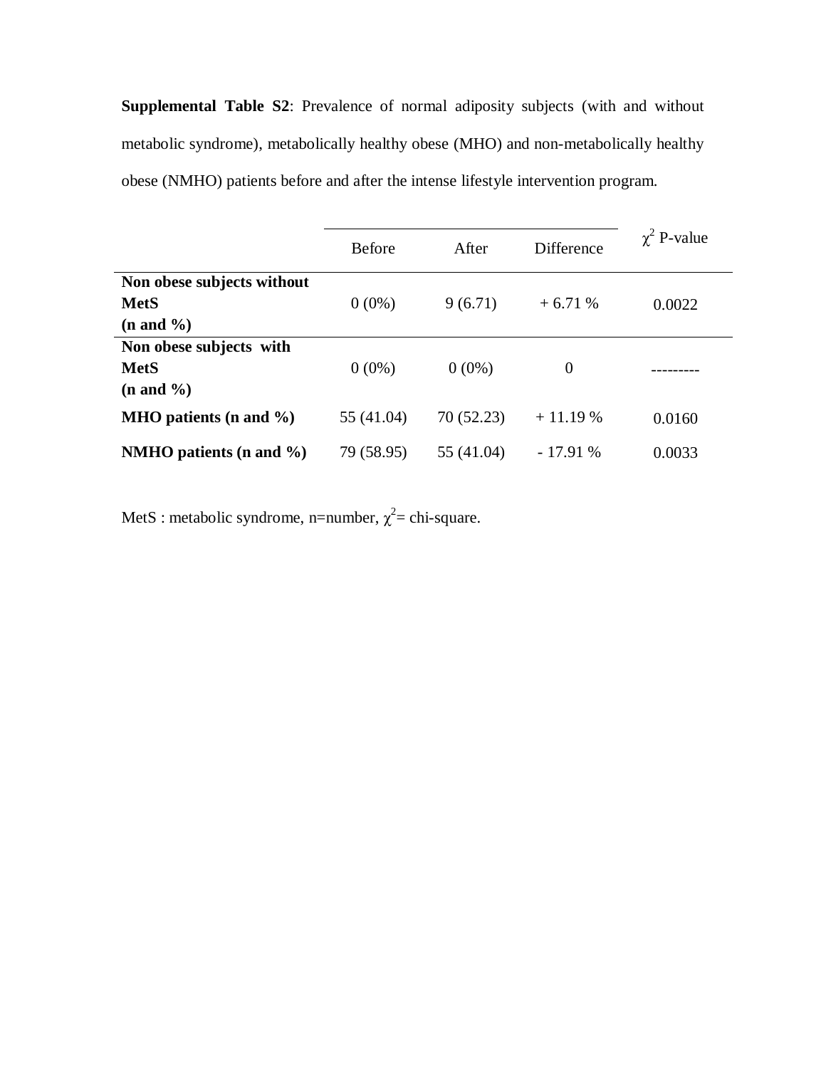**Supplemental Table S2**: Prevalence of normal adiposity subjects (with and without metabolic syndrome), metabolically healthy obese (MHO) and non-metabolically healthy obese (NMHO) patients before and after the intense lifestyle intervention program.

|                             | <b>Before</b> | After      | <b>Difference</b> | $\chi^2$ P-value |  |
|-----------------------------|---------------|------------|-------------------|------------------|--|
| Non obese subjects without  |               |            |                   |                  |  |
| <b>MetS</b>                 | $0(0\%)$      | 9(6.71)    | $+6.71%$          | 0.0022           |  |
| $(n \text{ and } \%)$       |               |            |                   |                  |  |
| Non obese subjects with     |               |            |                   |                  |  |
| <b>MetS</b>                 | $0(0\%)$      | $0(0\%)$   | $\theta$          |                  |  |
| $(n \text{ and } \%)$       |               |            |                   |                  |  |
| MHO patients (n and $\%$ )  | 55 (41.04)    | 70 (52.23) | $+11.19%$         | 0.0160           |  |
| NMHO patients (n and $\%$ ) | 79 (58.95)    | 55 (41.04) | $-17.91%$         | 0.0033           |  |

MetS : metabolic syndrome, n=number,  $\chi^2$ = chi-square.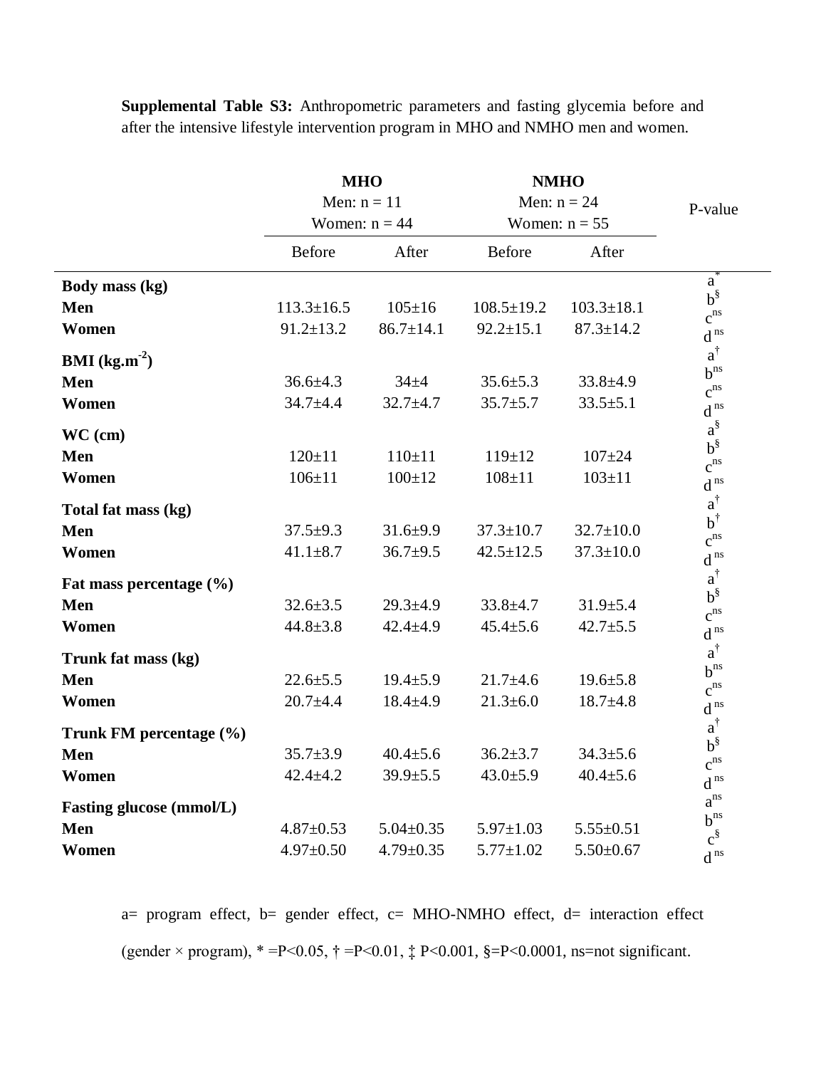|                                 | <b>MHO</b>                       |                 | <b>NMHO</b>      |                  |                                  |
|---------------------------------|----------------------------------|-----------------|------------------|------------------|----------------------------------|
|                                 | Men: $n = 11$<br>Women: $n = 44$ |                 | Men: $n = 24$    |                  | P-value                          |
|                                 |                                  |                 | Women: $n = 55$  |                  |                                  |
|                                 | <b>Before</b>                    | After           | <b>Before</b>    | After            |                                  |
| Body mass (kg)                  |                                  |                 |                  |                  | a                                |
| Men                             | $113.3 \pm 16.5$                 | $105 \pm 16$    | $108.5 \pm 19.2$ | $103.3 \pm 18.1$ | $b^{\S}$<br>$c^{ns}$             |
| Women                           | $91.2 \pm 13.2$                  | $86.7 \pm 14.1$ | $92.2 \pm 15.1$  | $87.3 \pm 14.2$  | $d^{ns}$                         |
| <b>BMI</b> ( $kg.m^{-2}$ )      |                                  |                 |                  |                  | $a^{\dagger}$                    |
| Men                             | $36.6 \pm 4.3$                   | $34 + 4$        | $35.6 \pm 5.3$   | $33.8 \pm 4.9$   | $b^{ns}$<br>$c^{ns}$             |
| Women                           | $34.7 + 4.4$                     | $32.7 + 4.7$    | $35.7 \pm 5.7$   | $33.5 \pm 5.1$   | $\operatorname{d}^{\,\text{ns}}$ |
| $WC$ (cm)                       |                                  |                 |                  |                  | $a^{\S}$                         |
| <b>Men</b>                      | $120 \pm 11$                     | $110 \pm 11$    | $119 \pm 12$     | $107 + 24$       | $b^{\S}$<br>$c^{ns}$             |
| Women                           | $106 \pm 11$                     | $100 + 12$      | $108 + 11$       | $103 \pm 11$     | $d^{ns}$                         |
| Total fat mass (kg)             |                                  |                 |                  |                  | $a^\dagger$                      |
| Men                             | $37.5+9.3$                       | $31.6 \pm 9.9$  | $37.3 \pm 10.7$  | $32.7 \pm 10.0$  | $b^{\dagger}$<br>$c^{ns}$        |
| Women                           | $41.1 \pm 8.7$                   | $36.7 \pm 9.5$  | $42.5 \pm 12.5$  | $37.3 \pm 10.0$  | $d^{ns}$                         |
| Fat mass percentage $(\% )$     |                                  |                 |                  |                  | $a^\dagger$                      |
| <b>Men</b>                      | $32.6 \pm 3.5$                   | $29.3 \pm 4.9$  | $33.8 \pm 4.7$   | $31.9 \pm 5.4$   | $b^{\S}$<br>$c^{ns}$             |
| Women                           | $44.8 \pm 3.8$                   | $42.4 \pm 4.9$  | $45.4 \pm 5.6$   | $42.7 \pm 5.5$   | $d^{ns}$                         |
| Trunk fat mass (kg)             |                                  |                 |                  |                  | $a^{\dagger}$                    |
| Men                             | $22.6 \pm 5.5$                   | $19.4 \pm 5.9$  | $21.7 \pm 4.6$   | $19.6 \pm 5.8$   | $b^{ns}$<br>$c^{ns}$             |
| Women                           | $20.7 + 4.4$                     | $18.4 \pm 4.9$  | $21.3 \pm 6.0$   | $18.7 + 4.8$     | $d^{ns}$                         |
| Trunk FM percentage (%)         |                                  |                 |                  |                  | $a^{\dagger}$                    |
| <b>Men</b>                      | $35.7 \pm 3.9$                   | $40.4 \pm 5.6$  | $36.2 \pm 3.7$   | $34.3 \pm 5.6$   | $b^{\S}$<br>$c^{ns}$             |
| Women                           | $42.4 \pm 4.2$                   | $39.9 \pm 5.5$  | $43.0 \pm 5.9$   | $40.4 \pm 5.6$   | $d^{ns}$                         |
| <b>Fasting glucose (mmol/L)</b> |                                  |                 |                  |                  | $a^{ns}$                         |
| <b>Men</b>                      | $4.87 \pm 0.53$                  | $5.04 \pm 0.35$ | $5.97 \pm 1.03$  | $5.55 \pm 0.51$  | $b^{ns}$<br>$c^{\S}$             |
| Women                           | $4.97 \pm 0.50$                  | $4.79 \pm 0.35$ | $5.77 \pm 1.02$  | $5.50 \pm 0.67$  | $\operatorname{d}^{\,\text{ns}}$ |

**Supplemental Table S3:** Anthropometric parameters and fasting glycemia before and after the intensive lifestyle intervention program in MHO and NMHO men and women.

a= program effect, b= gender effect, c= MHO-NMHO effect, d= interaction effect (gender  $\times$  program),  $* = P < 0.05$ ,  $\dagger = P < 0.01$ ,  $\ddagger$  P $< 0.001$ ,  $\S = P < 0.0001$ , ns=not significant.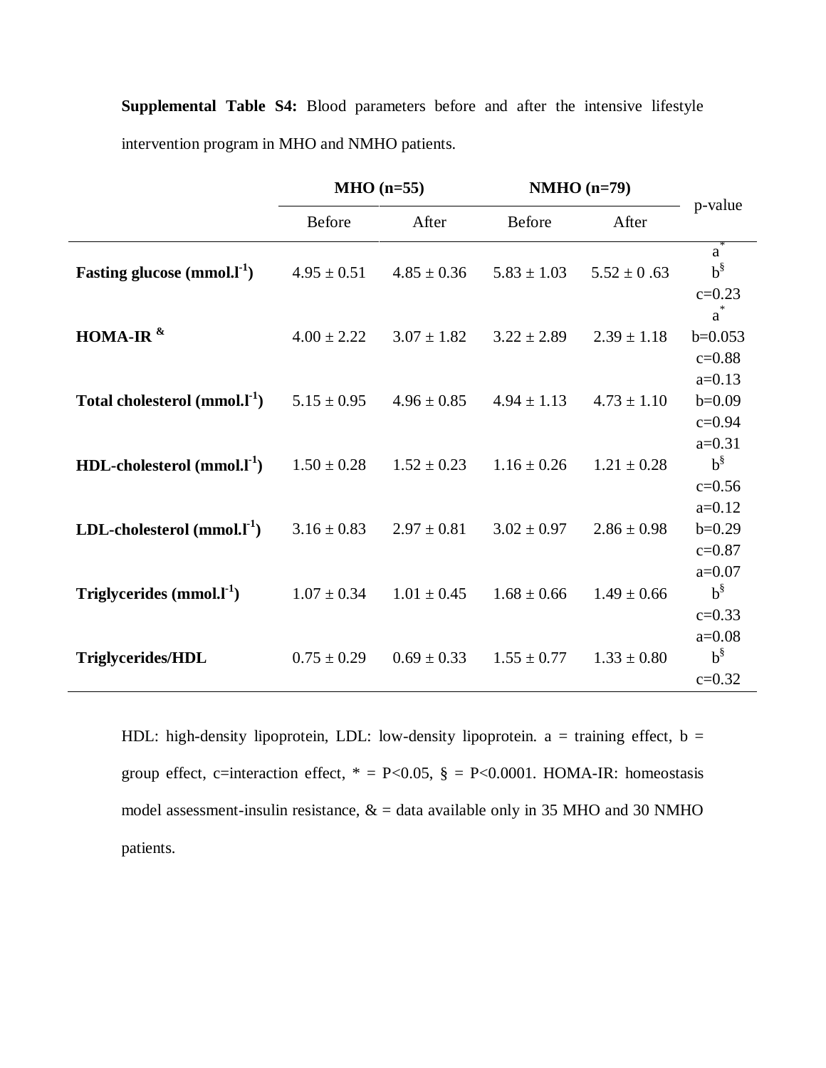| <b>Supplemental Table S4:</b> Blood parameters before and after the intensive lifestyle |  |  |  |  |  |  |  |  |  |  |
|-----------------------------------------------------------------------------------------|--|--|--|--|--|--|--|--|--|--|
| intervention program in MHO and NMHO patients.                                          |  |  |  |  |  |  |  |  |  |  |

|                                   | $MHO$ (n=55)    |                 | $NMHO$ (n=79)   | p-value         |                                    |
|-----------------------------------|-----------------|-----------------|-----------------|-----------------|------------------------------------|
|                                   | <b>Before</b>   | After           | <b>Before</b>   | After           |                                    |
| Fasting glucose $(mmol.1-1)$      | $4.95 \pm 0.51$ | $4.85 \pm 0.36$ | $5.83 \pm 1.03$ | $5.52 \pm 0.63$ | $a^*$<br>$b^{\S}$<br>$c = 0.23$    |
| HOMA-IR $^{\&}$                   | $4.00 \pm 2.22$ | $3.07 \pm 1.82$ | $3.22 \pm 2.89$ | $2.39 \pm 1.18$ | $a^*$<br>$b=0.053$<br>$c = 0.88$   |
| Total cholesterol $(mmol.1^{-1})$ | $5.15 \pm 0.95$ | $4.96 \pm 0.85$ | $4.94 \pm 1.13$ | $4.73 \pm 1.10$ | $a=0.13$<br>$b=0.09$<br>$c = 0.94$ |
| HDL-cholesterol $(mmol.1^{-1})$   | $1.50 \pm 0.28$ | $1.52 \pm 0.23$ | $1.16 \pm 0.26$ | $1.21 \pm 0.28$ | $a=0.31$<br>$b^{\S}$<br>$c = 0.56$ |
| LDL-cholesterol $(mmol, l^1)$     | $3.16 \pm 0.83$ | $2.97 \pm 0.81$ | $3.02 \pm 0.97$ | $2.86 \pm 0.98$ | $a=0.12$<br>$b=0.29$<br>$c = 0.87$ |
| Triglycerides $(mmol.1-1)$        | $1.07 \pm 0.34$ | $1.01 \pm 0.45$ | $1.68 \pm 0.66$ | $1.49 \pm 0.66$ | $a=0.07$<br>$b^{\S}$<br>$c = 0.33$ |
| Triglycerides/HDL                 | $0.75 \pm 0.29$ | $0.69 \pm 0.33$ | $1.55 \pm 0.77$ | $1.33 \pm 0.80$ | $a=0.08$<br>$b^{\S}$<br>$c=0.32$   |

HDL: high-density lipoprotein, LDL: low-density lipoprotein.  $a = \text{training effect}, b =$ group effect, c=interaction effect,  $* = P<0.05$ ,  $\S = P<0.0001$ . HOMA-IR: homeostasis model assessment-insulin resistance,  $\&$  = data available only in 35 MHO and 30 NMHO patients.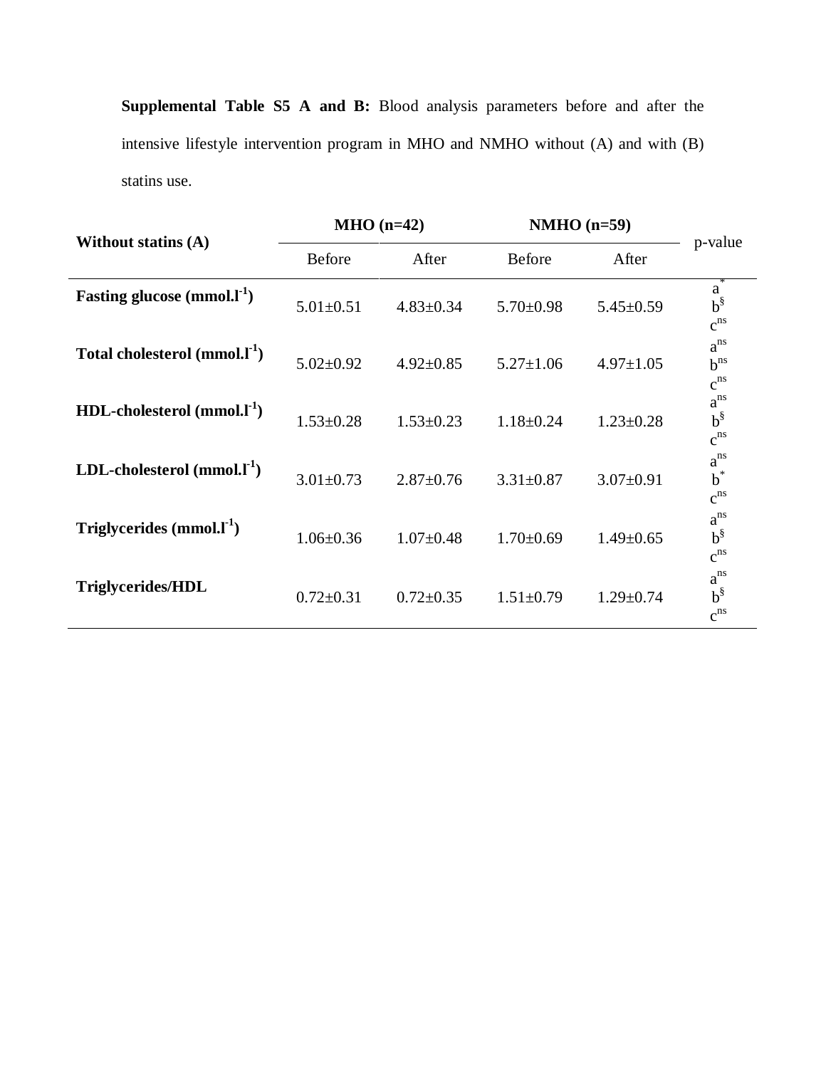**Supplemental Table S5 A and B:** Blood analysis parameters before and after the intensive lifestyle intervention program in MHO and NMHO without (A) and with (B) statins use.

|                                           |                 | $MHO (n=42)$    | $NMHO$ (n=59)   |                 |                                  |
|-------------------------------------------|-----------------|-----------------|-----------------|-----------------|----------------------------------|
| <b>Without statins (A)</b>                | <b>Before</b>   | After           | Before          | After           | p-value                          |
| Fasting glucose $(mmol.1-1)$              | $5.01 \pm 0.51$ | $4.83 \pm 0.34$ | $5.70 \pm 0.98$ | $5.45 \pm 0.59$ | a<br>$b^{\S}$<br>$c^{ns}$        |
| Total cholesterol (mmol.I <sup>-1</sup> ) | $5.02 \pm 0.92$ | $4.92 \pm 0.85$ | $5.27 \pm 1.06$ | $4.97 \pm 1.05$ | $a^{ns}$<br>$b^{ns}$<br>$c^{ns}$ |
| $HDL$ -cholesterol (mmol. $l^{-1}$ )      | $1.53 \pm 0.28$ | $1.53 \pm 0.23$ | $1.18 \pm 0.24$ | $1.23 \pm 0.28$ | $a^{ns}$<br>$b^{\S}$<br>$c^{ns}$ |
| LDL-cholesterol $(mmol, l^{\text{-}1})$   | $3.01 \pm 0.73$ | $2.87 \pm 0.76$ | $3.31 \pm 0.87$ | $3.07 \pm 0.91$ | $a^{ns}$<br>$b^*$<br>$c^{ns}$    |
| Triglycerides $(mmol.1-1)$                | $1.06 \pm 0.36$ | $1.07 \pm 0.48$ | $1.70 \pm 0.69$ | $1.49 \pm 0.65$ | $a^{ns}$<br>$b^{\S}$<br>$c^{ns}$ |
| <b>Triglycerides/HDL</b>                  | $0.72 \pm 0.31$ | $0.72 \pm 0.35$ | $1.51 \pm 0.79$ | $1.29 \pm 0.74$ | $a^{ns}$<br>$b^{\S}$<br>$c^{ns}$ |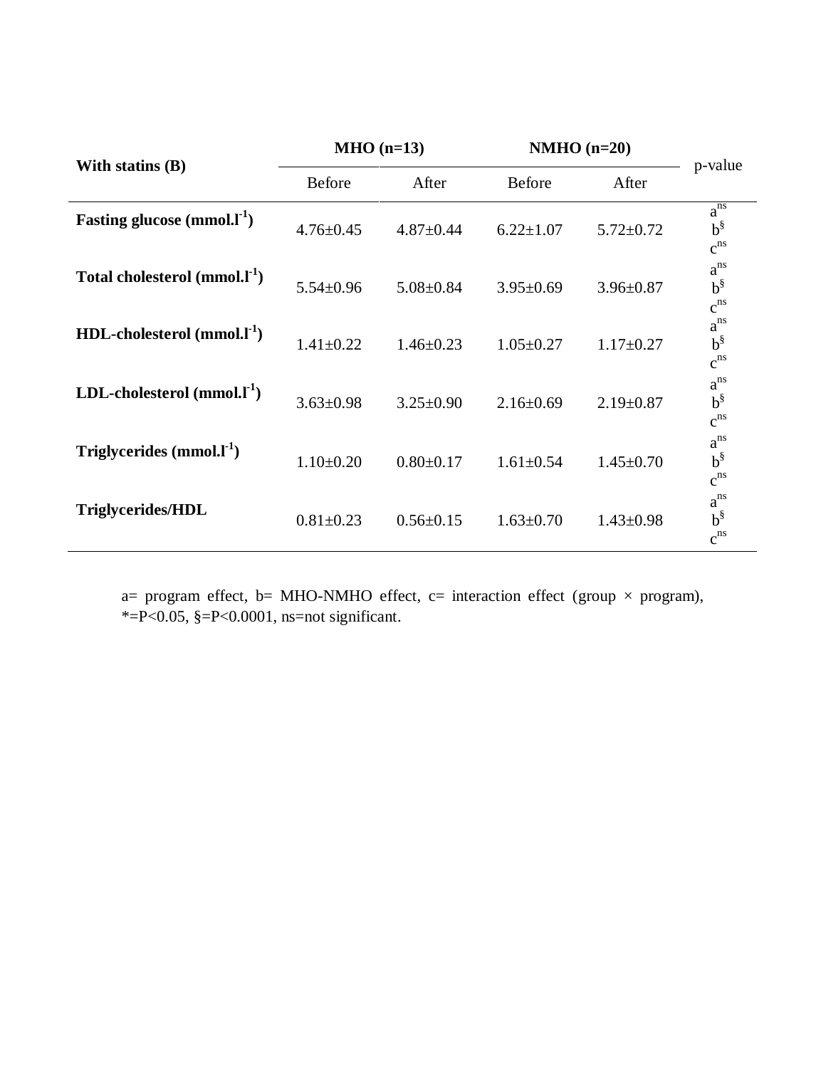|                                      |                 | $MHO$ (n=13)    | $NMHO$ (n=20)   |                 |                                  |
|--------------------------------------|-----------------|-----------------|-----------------|-----------------|----------------------------------|
| With statins $(B)$                   | <b>Before</b>   | After           | <b>Before</b>   | After           | p-value                          |
| Fasting glucose $(mmol.I-1)$         | $4.76 \pm 0.45$ | $4.87 \pm 0.44$ | $6.22 \pm 1.07$ | $5.72 \pm 0.72$ | $a^{ns}$<br>$b^{\S}$<br>$c^{ns}$ |
| Total cholesterol $(mmol, l^{-1})$   | $5.54 \pm 0.96$ | $5.08 \pm 0.84$ | $3.95 \pm 0.69$ | $3.96 \pm 0.87$ | $a^{ns}$<br>$b^{\S}$<br>$c^{ns}$ |
| $HDL$ -cholesterol (mmol. $l^{-1}$ ) | $1.41 \pm 0.22$ | $1.46 \pm 0.23$ | $1.05 \pm 0.27$ | $1.17 \pm 0.27$ | $a^{ns}$<br>$b^{\S}$<br>$c^{ns}$ |
| LDL-cholesterol $(mmol, l-1)$        | $3.63 \pm 0.98$ | $3.25 \pm 0.90$ | $2.16 \pm 0.69$ | $2.19 \pm 0.87$ | $a^{ns}$<br>$b^{\S}$<br>$c^{ns}$ |
| Triglycerides $(mmol.1-1)$           | $1.10 \pm 0.20$ | $0.80 \pm 0.17$ | $1.61 \pm 0.54$ | $1.45 \pm 0.70$ | $a^{ns}$<br>$b^{\S}$<br>$c^{ns}$ |
| <b>Triglycerides/HDL</b>             | $0.81 \pm 0.23$ | $0.56 \pm 0.15$ | $1.63 \pm 0.70$ | $1.43 \pm 0.98$ | $a^{ns}$<br>$b^{\S}$<br>$c^{ns}$ |

a= program effect, b= MHO-NMHO effect, c= interaction effect (group  $\times$  program),  $* = P < 0.05$ ,  $* = P < 0.0001$ , ns=not significant.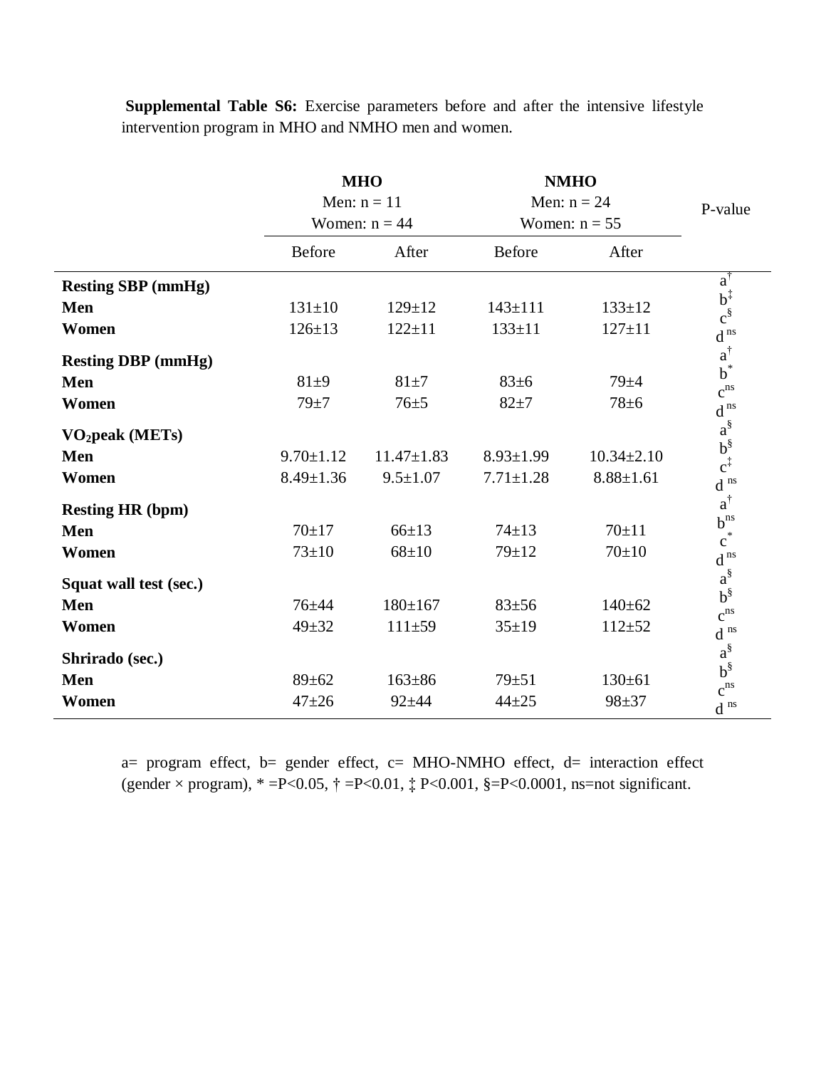|                             |                 | <b>MHO</b>       | <b>NMHO</b>     | P-value          |                                    |  |
|-----------------------------|-----------------|------------------|-----------------|------------------|------------------------------------|--|
|                             | Men: $n = 11$   |                  |                 |                  | Men: $n = 24$                      |  |
|                             |                 | Women: $n = 44$  |                 | Women: $n = 55$  |                                    |  |
|                             | <b>Before</b>   | After            | Before          | After            |                                    |  |
| <b>Resting SBP</b> (mmHg)   |                 |                  |                 |                  | $a^{\dagger}$                      |  |
| Men                         | $131 \pm 10$    | $129 \pm 12$     | $143 \pm 111$   | $133 \pm 12$     | $b^{\ddagger}_{\xi}$               |  |
| Women                       | $126 \pm 13$    | $122 \pm 11$     | $133 \pm 11$    | $127 \pm 11$     | $\operatorname{d}^{\,\text{ns}}$   |  |
| <b>Resting DBP</b> (mmHg)   |                 |                  |                 |                  | $a^{\dagger}$<br>$b^*$             |  |
| Men                         | $81 + 9$        | $81 + 7$         | 83±6            | $79 + 4$         | $c^{\rm ns}$                       |  |
| Women                       | $79 + 7$        | $76 + 5$         | $82 + 7$        | $78 + 6$         | $d^{ns}$                           |  |
| VO <sub>2</sub> peak (METs) |                 |                  |                 |                  | $a^{\S}$                           |  |
| Men                         | $9.70 \pm 1.12$ | $11.47 \pm 1.83$ | $8.93 \pm 1.99$ | $10.34 \pm 2.10$ | $b^{\S}_{c^{\ddagger}}$            |  |
| Women                       | $8.49 \pm 1.36$ | $9.5 \pm 1.07$   | $7.71 \pm 1.28$ | $8.88 \pm 1.61$  | $d^{ns}$                           |  |
| <b>Resting HR (bpm)</b>     |                 |                  |                 |                  | $a^{\dagger}$                      |  |
| Men                         | $70+17$         | $66 \pm 13$      | $74 \pm 13$     | $70+11$          | $b^{ns}$<br>$\overrightarrow{c}^*$ |  |
| Women                       | $73 \pm 10$     | $68 + 10$        | $79 + 12$       | $70+10$          | $\operatorname{d}^{\,\text{ns}}$   |  |
| Squat wall test (sec.)      |                 |                  |                 |                  | $a^{\S}$                           |  |
| Men                         | $76 + 44$       | $180 \pm 167$    | $83 + 56$       | $140 \pm 62$     | $b^{\S}$<br>$c^{\rm ns}$           |  |
| Women                       | $49 + 32$       | $111 + 59$       | $35 \pm 19$     | $112 + 52$       | $\operatorname{d}$ $^{\rm ns}$     |  |
| Shrirado (sec.)             |                 |                  |                 |                  | $a^{\S}$                           |  |
| Men                         | $89 \pm 62$     | $163 \pm 86$     | $79 + 51$       | $130 \pm 61$     | $b^{\S}$<br>$c^{ns}$               |  |
| Women                       | $47 + 26$       | $92 + 44$        | $44 + 25$       | $98 + 37$        | $\operatorname{d}$ $^{\rm ns}$     |  |

**Supplemental Table S6:** Exercise parameters before and after the intensive lifestyle intervention program in MHO and NMHO men and women.

a= program effect, b= gender effect, c= MHO-NMHO effect, d= interaction effect (gender  $\times$  program),  $* = P < 0.05$ ,  $\dagger = P < 0.01$ ,  $\ddagger P < 0.001$ ,  $\S = P < 0.0001$ , ns=not significant.